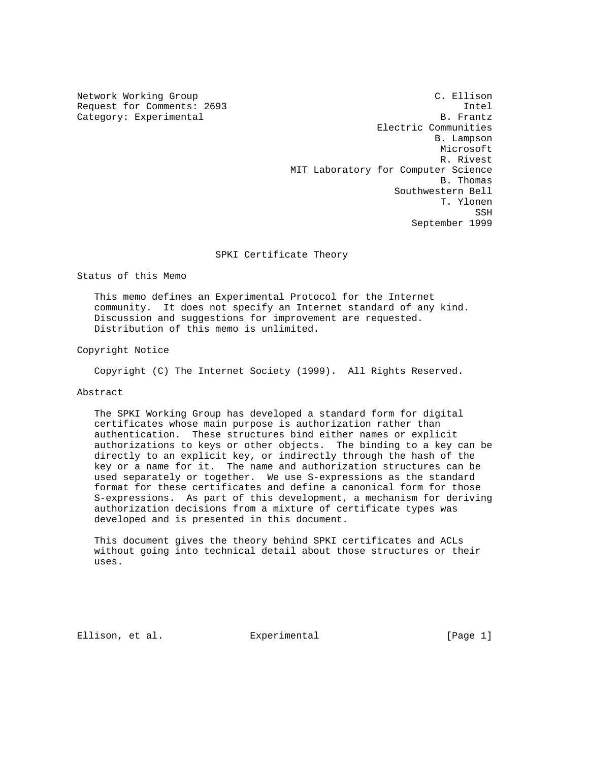Category: Experimental

Network Working Group C. Ellison Request for Comments: 2693 Intel<br>Category: Experimental B. Frantz Electric Communities B. Lampson Microsoft R. Rivest MIT Laboratory for Computer Science B. Thomas Southwestern Bell T. Ylonen SSHELL AND STRUCK IN THE STRUCK OF THE STRUCK SSHELL AND STRUCK IN THE STRUCK OF THE STRUCK OF THE STRUCK OF T September 1999

### SPKI Certificate Theory

Status of this Memo

 This memo defines an Experimental Protocol for the Internet community. It does not specify an Internet standard of any kind. Discussion and suggestions for improvement are requested. Distribution of this memo is unlimited.

Copyright Notice

Copyright (C) The Internet Society (1999). All Rights Reserved.

# Abstract

 The SPKI Working Group has developed a standard form for digital certificates whose main purpose is authorization rather than authentication. These structures bind either names or explicit authorizations to keys or other objects. The binding to a key can be directly to an explicit key, or indirectly through the hash of the key or a name for it. The name and authorization structures can be used separately or together. We use S-expressions as the standard format for these certificates and define a canonical form for those S-expressions. As part of this development, a mechanism for deriving authorization decisions from a mixture of certificate types was developed and is presented in this document.

 This document gives the theory behind SPKI certificates and ACLs without going into technical detail about those structures or their uses.

Ellison, et al. Experimental [Page 1]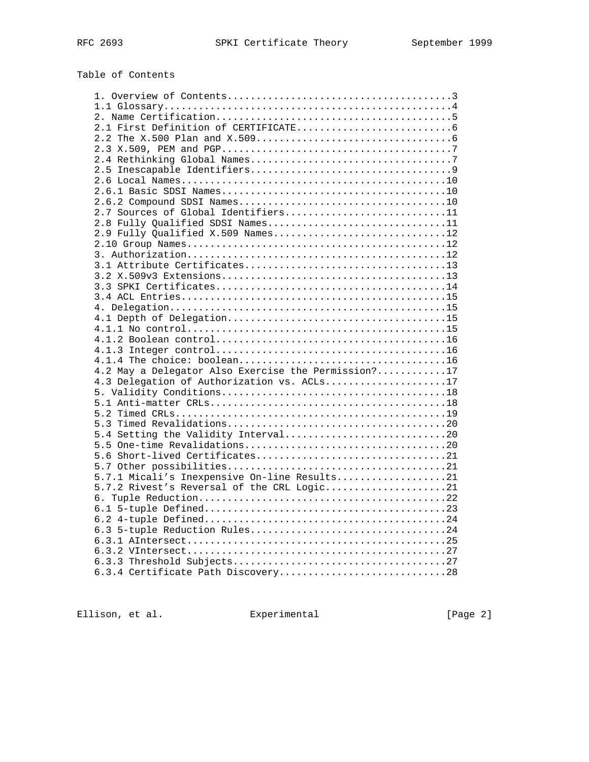# Table of Contents

| 2.7 Sources of Global Identifiers11                 |
|-----------------------------------------------------|
| 2.8 Fully Qualified SDSI Names11                    |
|                                                     |
|                                                     |
|                                                     |
|                                                     |
|                                                     |
|                                                     |
|                                                     |
|                                                     |
|                                                     |
|                                                     |
|                                                     |
|                                                     |
|                                                     |
| 4.2 May a Delegator Also Exercise the Permission?17 |
| 4.3 Delegation of Authorization vs. ACLs17          |
|                                                     |
|                                                     |
|                                                     |
|                                                     |
|                                                     |
|                                                     |
| 5.6 Short-lived Certificates21                      |
|                                                     |
| 5.7.1 Micali's Inexpensive On-line Results21        |
| 5.7.2 Rivest's Reversal of the CRL Logic21          |
|                                                     |
|                                                     |
|                                                     |
|                                                     |
|                                                     |
|                                                     |
|                                                     |
| 6.3.4 Certificate Path Discovery28                  |
|                                                     |

Ellison, et al. Experimental [Page 2]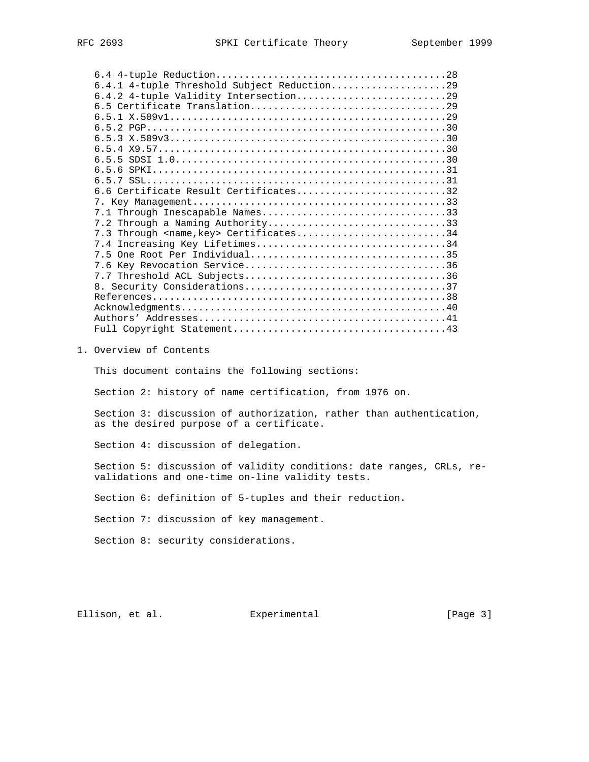| 6.6 Certificate Result Certificates32             |
|---------------------------------------------------|
|                                                   |
| 7.1 Through Inescapable Names33                   |
| 7.2 Through a Naming Authority33                  |
| 7.3 Through <name, key=""> Certificates34</name,> |
| 7.4 Increasing Key Lifetimes34                    |
|                                                   |
| 7.5 One Root Per Individual35                     |
|                                                   |
|                                                   |
|                                                   |
|                                                   |
|                                                   |
|                                                   |
|                                                   |
|                                                   |

# 1. Overview of Contents

This document contains the following sections:

Section 2: history of name certification, from 1976 on.

 Section 3: discussion of authorization, rather than authentication, as the desired purpose of a certificate.

Section 4: discussion of delegation.

 Section 5: discussion of validity conditions: date ranges, CRLs, re validations and one-time on-line validity tests.

Section 6: definition of 5-tuples and their reduction.

Section 7: discussion of key management.

Section 8: security considerations.

Ellison, et al. Experimental [Page 3]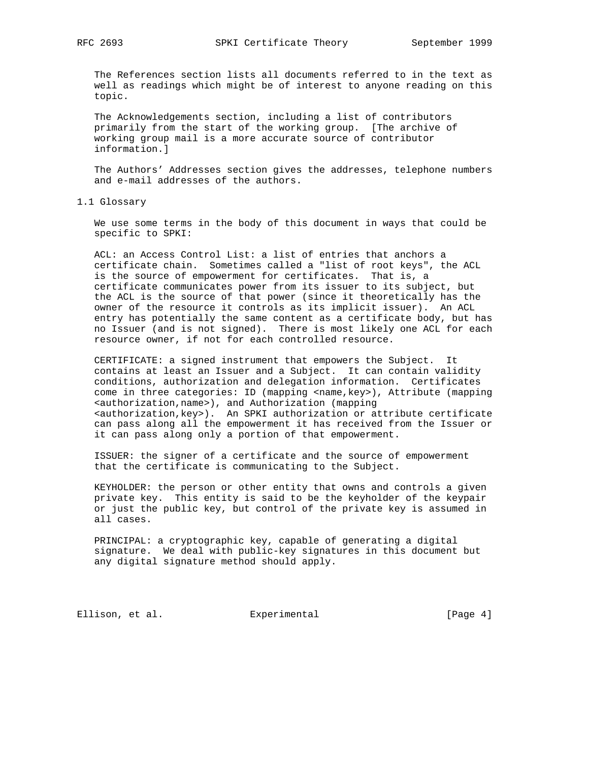The References section lists all documents referred to in the text as well as readings which might be of interest to anyone reading on this topic.

 The Acknowledgements section, including a list of contributors primarily from the start of the working group. [The archive of working group mail is a more accurate source of contributor information.]

 The Authors' Addresses section gives the addresses, telephone numbers and e-mail addresses of the authors.

1.1 Glossary

 We use some terms in the body of this document in ways that could be specific to SPKI:

 ACL: an Access Control List: a list of entries that anchors a certificate chain. Sometimes called a "list of root keys", the ACL is the source of empowerment for certificates. That is, a certificate communicates power from its issuer to its subject, but the ACL is the source of that power (since it theoretically has the owner of the resource it controls as its implicit issuer). An ACL entry has potentially the same content as a certificate body, but has no Issuer (and is not signed). There is most likely one ACL for each resource owner, if not for each controlled resource.

 CERTIFICATE: a signed instrument that empowers the Subject. It contains at least an Issuer and a Subject. It can contain validity conditions, authorization and delegation information. Certificates come in three categories: ID (mapping <name,key>), Attribute (mapping <authorization,name>), and Authorization (mapping <authorization,key>). An SPKI authorization or attribute certificate can pass along all the empowerment it has received from the Issuer or it can pass along only a portion of that empowerment.

 ISSUER: the signer of a certificate and the source of empowerment that the certificate is communicating to the Subject.

 KEYHOLDER: the person or other entity that owns and controls a given private key. This entity is said to be the keyholder of the keypair or just the public key, but control of the private key is assumed in all cases.

 PRINCIPAL: a cryptographic key, capable of generating a digital signature. We deal with public-key signatures in this document but any digital signature method should apply.

Ellison, et al. Experimental Formula (Page 4)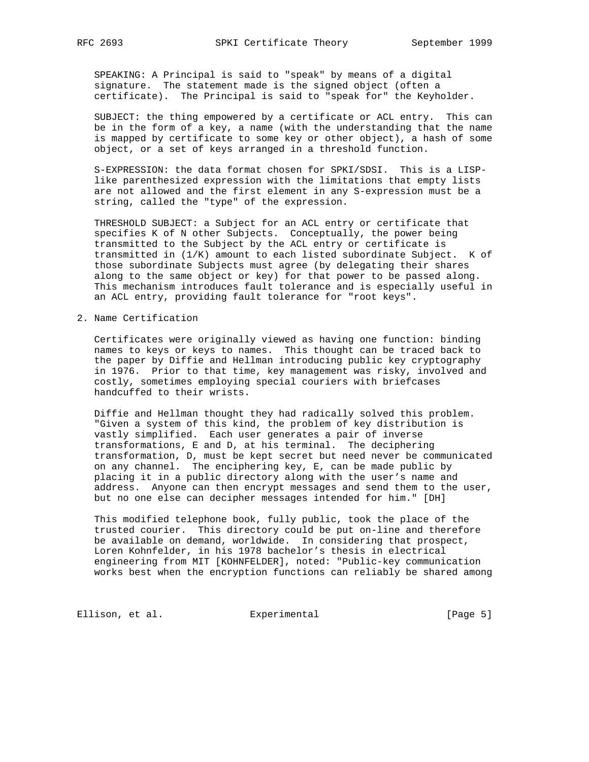SPEAKING: A Principal is said to "speak" by means of a digital signature. The statement made is the signed object (often a certificate). The Principal is said to "speak for" the Keyholder.

 SUBJECT: the thing empowered by a certificate or ACL entry. This can be in the form of a key, a name (with the understanding that the name is mapped by certificate to some key or other object), a hash of some object, or a set of keys arranged in a threshold function.

 S-EXPRESSION: the data format chosen for SPKI/SDSI. This is a LISP like parenthesized expression with the limitations that empty lists are not allowed and the first element in any S-expression must be a string, called the "type" of the expression.

 THRESHOLD SUBJECT: a Subject for an ACL entry or certificate that specifies K of N other Subjects. Conceptually, the power being transmitted to the Subject by the ACL entry or certificate is transmitted in (1/K) amount to each listed subordinate Subject. K of those subordinate Subjects must agree (by delegating their shares along to the same object or key) for that power to be passed along. This mechanism introduces fault tolerance and is especially useful in an ACL entry, providing fault tolerance for "root keys".

2. Name Certification

 Certificates were originally viewed as having one function: binding names to keys or keys to names. This thought can be traced back to the paper by Diffie and Hellman introducing public key cryptography in 1976. Prior to that time, key management was risky, involved and costly, sometimes employing special couriers with briefcases handcuffed to their wrists.

 Diffie and Hellman thought they had radically solved this problem. "Given a system of this kind, the problem of key distribution is vastly simplified. Each user generates a pair of inverse transformations, E and D, at his terminal. The deciphering transformation, D, must be kept secret but need never be communicated on any channel. The enciphering key, E, can be made public by placing it in a public directory along with the user's name and address. Anyone can then encrypt messages and send them to the user, but no one else can decipher messages intended for him." [DH]

 This modified telephone book, fully public, took the place of the trusted courier. This directory could be put on-line and therefore be available on demand, worldwide. In considering that prospect, Loren Kohnfelder, in his 1978 bachelor's thesis in electrical engineering from MIT [KOHNFELDER], noted: "Public-key communication works best when the encryption functions can reliably be shared among

Ellison, et al. Experimental [Page 5]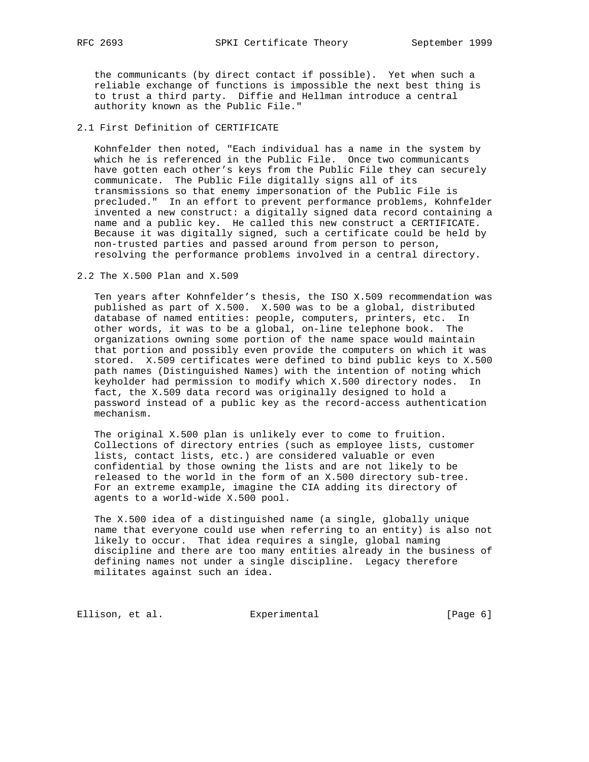the communicants (by direct contact if possible). Yet when such a reliable exchange of functions is impossible the next best thing is to trust a third party. Diffie and Hellman introduce a central authority known as the Public File."

# 2.1 First Definition of CERTIFICATE

 Kohnfelder then noted, "Each individual has a name in the system by which he is referenced in the Public File. Once two communicants have gotten each other's keys from the Public File they can securely communicate. The Public File digitally signs all of its transmissions so that enemy impersonation of the Public File is precluded." In an effort to prevent performance problems, Kohnfelder invented a new construct: a digitally signed data record containing a name and a public key. He called this new construct a CERTIFICATE. Because it was digitally signed, such a certificate could be held by non-trusted parties and passed around from person to person, resolving the performance problems involved in a central directory.

2.2 The X.500 Plan and X.509

 Ten years after Kohnfelder's thesis, the ISO X.509 recommendation was published as part of X.500. X.500 was to be a global, distributed database of named entities: people, computers, printers, etc. In other words, it was to be a global, on-line telephone book. The organizations owning some portion of the name space would maintain that portion and possibly even provide the computers on which it was stored. X.509 certificates were defined to bind public keys to X.500 path names (Distinguished Names) with the intention of noting which keyholder had permission to modify which X.500 directory nodes. In fact, the X.509 data record was originally designed to hold a password instead of a public key as the record-access authentication mechanism.

 The original X.500 plan is unlikely ever to come to fruition. Collections of directory entries (such as employee lists, customer lists, contact lists, etc.) are considered valuable or even confidential by those owning the lists and are not likely to be released to the world in the form of an X.500 directory sub-tree. For an extreme example, imagine the CIA adding its directory of agents to a world-wide X.500 pool.

 The X.500 idea of a distinguished name (a single, globally unique name that everyone could use when referring to an entity) is also not likely to occur. That idea requires a single, global naming discipline and there are too many entities already in the business of defining names not under a single discipline. Legacy therefore militates against such an idea.

Ellison, et al. Experimental [Page 6]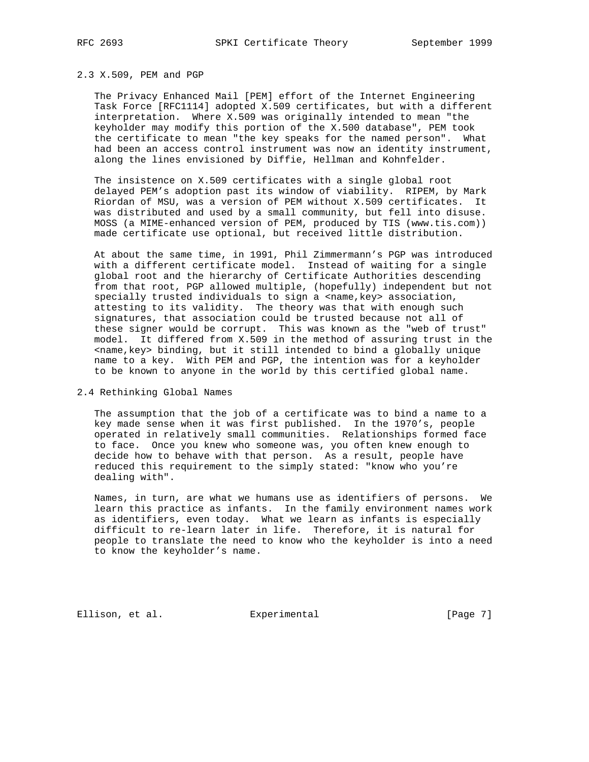# 2.3 X.509, PEM and PGP

 The Privacy Enhanced Mail [PEM] effort of the Internet Engineering Task Force [RFC1114] adopted X.509 certificates, but with a different interpretation. Where X.509 was originally intended to mean "the keyholder may modify this portion of the X.500 database", PEM took the certificate to mean "the key speaks for the named person". What had been an access control instrument was now an identity instrument, along the lines envisioned by Diffie, Hellman and Kohnfelder.

 The insistence on X.509 certificates with a single global root delayed PEM's adoption past its window of viability. RIPEM, by Mark Riordan of MSU, was a version of PEM without X.509 certificates. It was distributed and used by a small community, but fell into disuse. MOSS (a MIME-enhanced version of PEM, produced by TIS (www.tis.com)) made certificate use optional, but received little distribution.

 At about the same time, in 1991, Phil Zimmermann's PGP was introduced with a different certificate model. Instead of waiting for a single global root and the hierarchy of Certificate Authorities descending from that root, PGP allowed multiple, (hopefully) independent but not specially trusted individuals to sign a <name, key> association, attesting to its validity. The theory was that with enough such signatures, that association could be trusted because not all of these signer would be corrupt. This was known as the "web of trust" model. It differed from X.509 in the method of assuring trust in the <name,key> binding, but it still intended to bind a globally unique name to a key. With PEM and PGP, the intention was for a keyholder to be known to anyone in the world by this certified global name.

# 2.4 Rethinking Global Names

 The assumption that the job of a certificate was to bind a name to a key made sense when it was first published. In the 1970's, people operated in relatively small communities. Relationships formed face to face. Once you knew who someone was, you often knew enough to decide how to behave with that person. As a result, people have reduced this requirement to the simply stated: "know who you're dealing with".

 Names, in turn, are what we humans use as identifiers of persons. We learn this practice as infants. In the family environment names work as identifiers, even today. What we learn as infants is especially difficult to re-learn later in life. Therefore, it is natural for people to translate the need to know who the keyholder is into a need to know the keyholder's name.

Ellison, et al. Experimental [Page 7]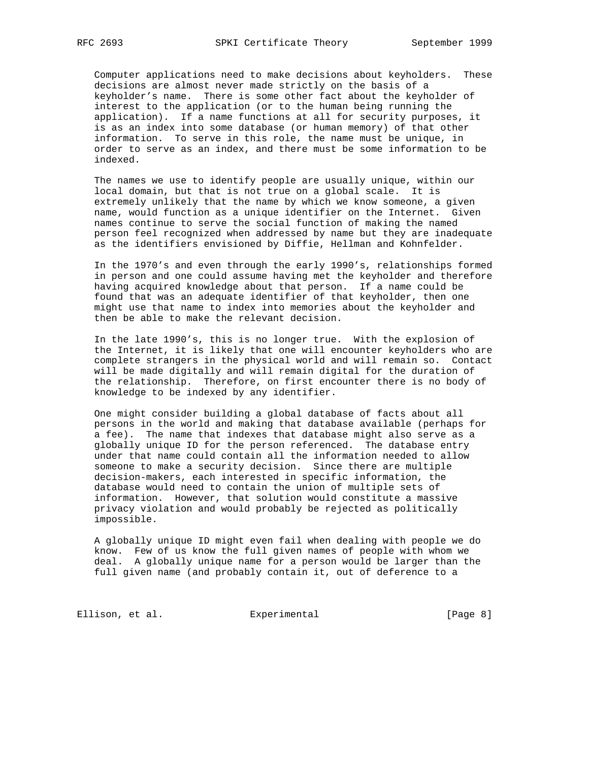Computer applications need to make decisions about keyholders. These decisions are almost never made strictly on the basis of a keyholder's name. There is some other fact about the keyholder of interest to the application (or to the human being running the application). If a name functions at all for security purposes, it is as an index into some database (or human memory) of that other information. To serve in this role, the name must be unique, in order to serve as an index, and there must be some information to be indexed.

 The names we use to identify people are usually unique, within our local domain, but that is not true on a global scale. It is extremely unlikely that the name by which we know someone, a given name, would function as a unique identifier on the Internet. Given names continue to serve the social function of making the named person feel recognized when addressed by name but they are inadequate as the identifiers envisioned by Diffie, Hellman and Kohnfelder.

 In the 1970's and even through the early 1990's, relationships formed in person and one could assume having met the keyholder and therefore having acquired knowledge about that person. If a name could be found that was an adequate identifier of that keyholder, then one might use that name to index into memories about the keyholder and then be able to make the relevant decision.

 In the late 1990's, this is no longer true. With the explosion of the Internet, it is likely that one will encounter keyholders who are complete strangers in the physical world and will remain so. Contact will be made digitally and will remain digital for the duration of the relationship. Therefore, on first encounter there is no body of knowledge to be indexed by any identifier.

 One might consider building a global database of facts about all persons in the world and making that database available (perhaps for a fee). The name that indexes that database might also serve as a globally unique ID for the person referenced. The database entry under that name could contain all the information needed to allow someone to make a security decision. Since there are multiple decision-makers, each interested in specific information, the database would need to contain the union of multiple sets of information. However, that solution would constitute a massive privacy violation and would probably be rejected as politically impossible.

 A globally unique ID might even fail when dealing with people we do know. Few of us know the full given names of people with whom we deal. A globally unique name for a person would be larger than the full given name (and probably contain it, out of deference to a

Ellison, et al. Experimental [Page 8]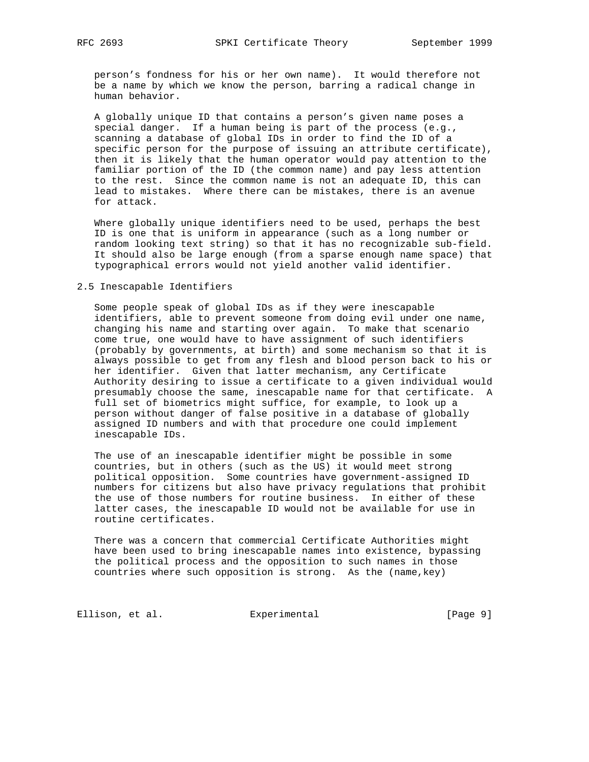person's fondness for his or her own name). It would therefore not be a name by which we know the person, barring a radical change in human behavior.

 A globally unique ID that contains a person's given name poses a special danger. If a human being is part of the process (e.g., scanning a database of global IDs in order to find the ID of a specific person for the purpose of issuing an attribute certificate), then it is likely that the human operator would pay attention to the familiar portion of the ID (the common name) and pay less attention to the rest. Since the common name is not an adequate ID, this can lead to mistakes. Where there can be mistakes, there is an avenue for attack.

 Where globally unique identifiers need to be used, perhaps the best ID is one that is uniform in appearance (such as a long number or random looking text string) so that it has no recognizable sub-field. It should also be large enough (from a sparse enough name space) that typographical errors would not yield another valid identifier.

#### 2.5 Inescapable Identifiers

 Some people speak of global IDs as if they were inescapable identifiers, able to prevent someone from doing evil under one name, changing his name and starting over again. To make that scenario come true, one would have to have assignment of such identifiers (probably by governments, at birth) and some mechanism so that it is always possible to get from any flesh and blood person back to his or her identifier. Given that latter mechanism, any Certificate Authority desiring to issue a certificate to a given individual would presumably choose the same, inescapable name for that certificate. A full set of biometrics might suffice, for example, to look up a person without danger of false positive in a database of globally assigned ID numbers and with that procedure one could implement inescapable IDs.

 The use of an inescapable identifier might be possible in some countries, but in others (such as the US) it would meet strong political opposition. Some countries have government-assigned ID numbers for citizens but also have privacy regulations that prohibit the use of those numbers for routine business. In either of these latter cases, the inescapable ID would not be available for use in routine certificates.

 There was a concern that commercial Certificate Authorities might have been used to bring inescapable names into existence, bypassing the political process and the opposition to such names in those countries where such opposition is strong. As the (name,key)

Ellison, et al. Experimental [Page 9]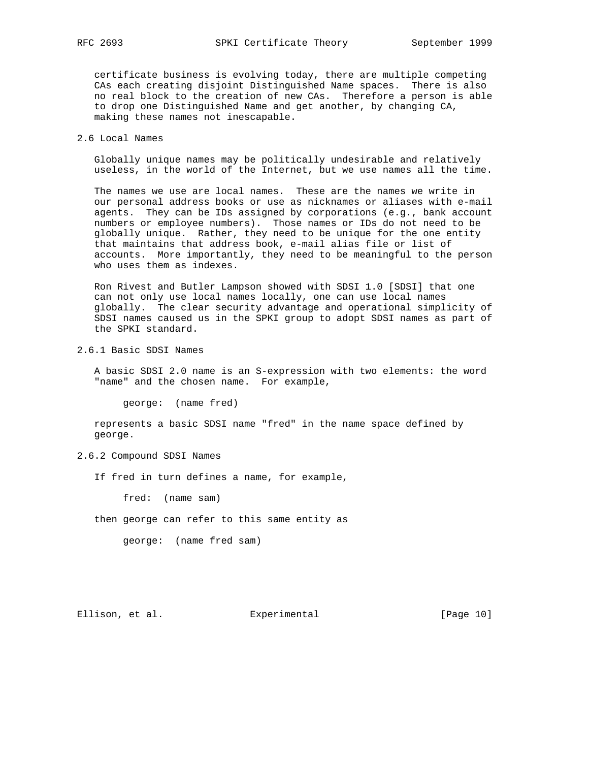certificate business is evolving today, there are multiple competing CAs each creating disjoint Distinguished Name spaces. There is also no real block to the creation of new CAs. Therefore a person is able to drop one Distinguished Name and get another, by changing CA, making these names not inescapable.

2.6 Local Names

 Globally unique names may be politically undesirable and relatively useless, in the world of the Internet, but we use names all the time.

 The names we use are local names. These are the names we write in our personal address books or use as nicknames or aliases with e-mail agents. They can be IDs assigned by corporations (e.g., bank account numbers or employee numbers). Those names or IDs do not need to be globally unique. Rather, they need to be unique for the one entity that maintains that address book, e-mail alias file or list of accounts. More importantly, they need to be meaningful to the person who uses them as indexes.

 Ron Rivest and Butler Lampson showed with SDSI 1.0 [SDSI] that one can not only use local names locally, one can use local names globally. The clear security advantage and operational simplicity of SDSI names caused us in the SPKI group to adopt SDSI names as part of the SPKI standard.

2.6.1 Basic SDSI Names

 A basic SDSI 2.0 name is an S-expression with two elements: the word "name" and the chosen name. For example,

george: (name fred)

 represents a basic SDSI name "fred" in the name space defined by george.

2.6.2 Compound SDSI Names

If fred in turn defines a name, for example,

fred: (name sam)

then george can refer to this same entity as

george: (name fred sam)

Ellison, et al. Experimental [Page 10]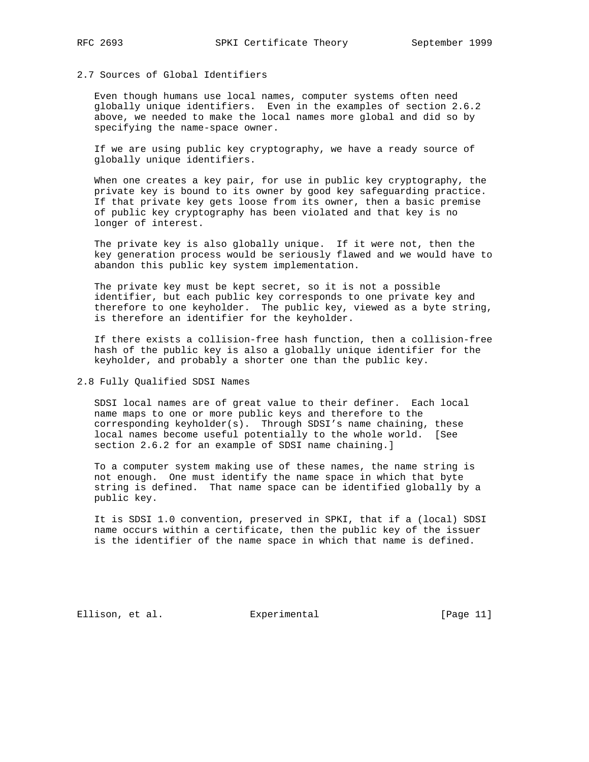# 2.7 Sources of Global Identifiers

 Even though humans use local names, computer systems often need globally unique identifiers. Even in the examples of section 2.6.2 above, we needed to make the local names more global and did so by specifying the name-space owner.

 If we are using public key cryptography, we have a ready source of globally unique identifiers.

 When one creates a key pair, for use in public key cryptography, the private key is bound to its owner by good key safeguarding practice. If that private key gets loose from its owner, then a basic premise of public key cryptography has been violated and that key is no longer of interest.

 The private key is also globally unique. If it were not, then the key generation process would be seriously flawed and we would have to abandon this public key system implementation.

 The private key must be kept secret, so it is not a possible identifier, but each public key corresponds to one private key and therefore to one keyholder. The public key, viewed as a byte string, is therefore an identifier for the keyholder.

 If there exists a collision-free hash function, then a collision-free hash of the public key is also a globally unique identifier for the keyholder, and probably a shorter one than the public key.

2.8 Fully Qualified SDSI Names

 SDSI local names are of great value to their definer. Each local name maps to one or more public keys and therefore to the corresponding keyholder(s). Through SDSI's name chaining, these local names become useful potentially to the whole world. [See section 2.6.2 for an example of SDSI name chaining.]

 To a computer system making use of these names, the name string is not enough. One must identify the name space in which that byte string is defined. That name space can be identified globally by a public key.

 It is SDSI 1.0 convention, preserved in SPKI, that if a (local) SDSI name occurs within a certificate, then the public key of the issuer is the identifier of the name space in which that name is defined.

Ellison, et al. Experimental [Page 11]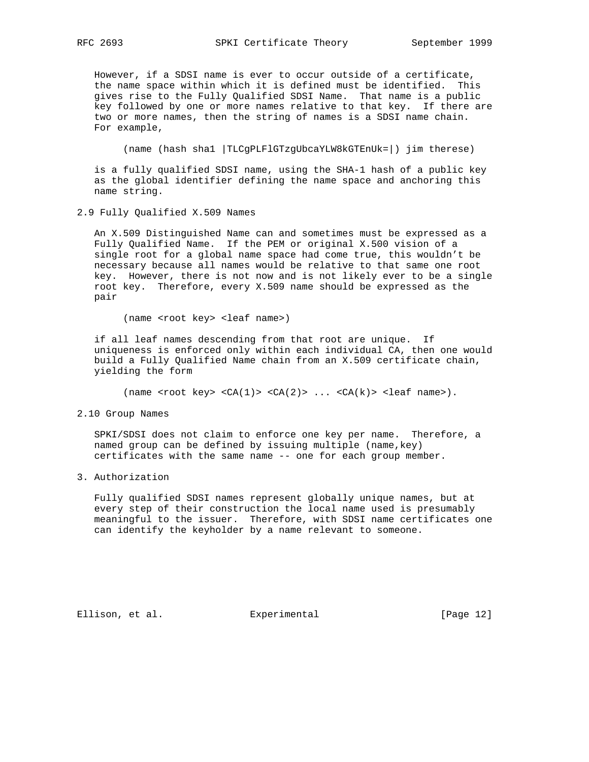However, if a SDSI name is ever to occur outside of a certificate, the name space within which it is defined must be identified. This gives rise to the Fully Qualified SDSI Name. That name is a public key followed by one or more names relative to that key. If there are two or more names, then the string of names is a SDSI name chain. For example,

(name (hash sha1 |TLCgPLFlGTzgUbcaYLW8kGTEnUk=|) jim therese)

 is a fully qualified SDSI name, using the SHA-1 hash of a public key as the global identifier defining the name space and anchoring this name string.

2.9 Fully Qualified X.509 Names

 An X.509 Distinguished Name can and sometimes must be expressed as a Fully Qualified Name. If the PEM or original X.500 vision of a single root for a global name space had come true, this wouldn't be necessary because all names would be relative to that same one root key. However, there is not now and is not likely ever to be a single root key. Therefore, every X.509 name should be expressed as the pair

(name <root key> <leaf name>)

 if all leaf names descending from that root are unique. If uniqueness is enforced only within each individual CA, then one would build a Fully Qualified Name chain from an X.509 certificate chain, yielding the form

(name <root key> < $CA(1)$ > < $CA(2)$ > ... < $CA(k)$ > <leaf name>).

2.10 Group Names

 SPKI/SDSI does not claim to enforce one key per name. Therefore, a named group can be defined by issuing multiple (name,key) certificates with the same name -- one for each group member.

3. Authorization

 Fully qualified SDSI names represent globally unique names, but at every step of their construction the local name used is presumably meaningful to the issuer. Therefore, with SDSI name certificates one can identify the keyholder by a name relevant to someone.

Ellison, et al. Experimental [Page 12]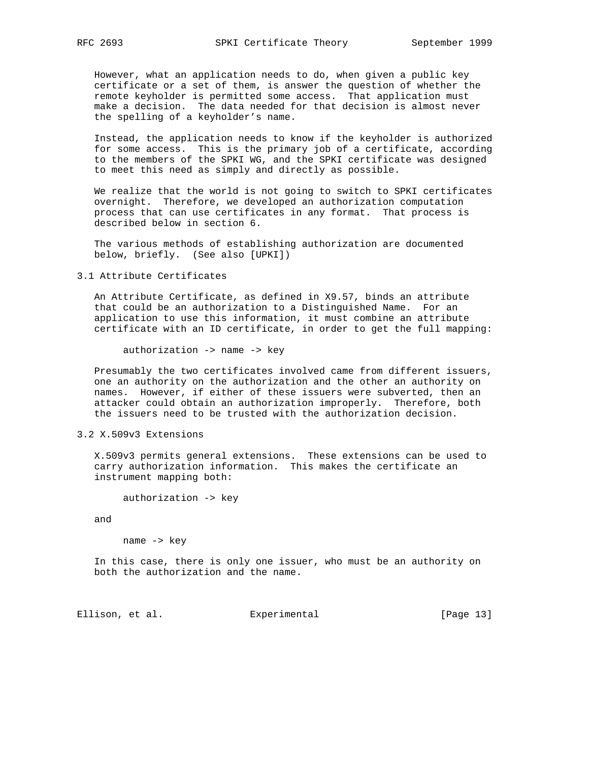However, what an application needs to do, when given a public key certificate or a set of them, is answer the question of whether the remote keyholder is permitted some access. That application must make a decision. The data needed for that decision is almost never the spelling of a keyholder's name.

 Instead, the application needs to know if the keyholder is authorized for some access. This is the primary job of a certificate, according to the members of the SPKI WG, and the SPKI certificate was designed to meet this need as simply and directly as possible.

 We realize that the world is not going to switch to SPKI certificates overnight. Therefore, we developed an authorization computation process that can use certificates in any format. That process is described below in section 6.

 The various methods of establishing authorization are documented below, briefly. (See also [UPKI])

3.1 Attribute Certificates

 An Attribute Certificate, as defined in X9.57, binds an attribute that could be an authorization to a Distinguished Name. For an application to use this information, it must combine an attribute certificate with an ID certificate, in order to get the full mapping:

authorization -> name -> key

 Presumably the two certificates involved came from different issuers, one an authority on the authorization and the other an authority on names. However, if either of these issuers were subverted, then an attacker could obtain an authorization improperly. Therefore, both the issuers need to be trusted with the authorization decision.

## 3.2 X.509v3 Extensions

 X.509v3 permits general extensions. These extensions can be used to carry authorization information. This makes the certificate an instrument mapping both:

authorization -> key

and

name -> key

 In this case, there is only one issuer, who must be an authority on both the authorization and the name.

Ellison, et al. Experimental [Page 13]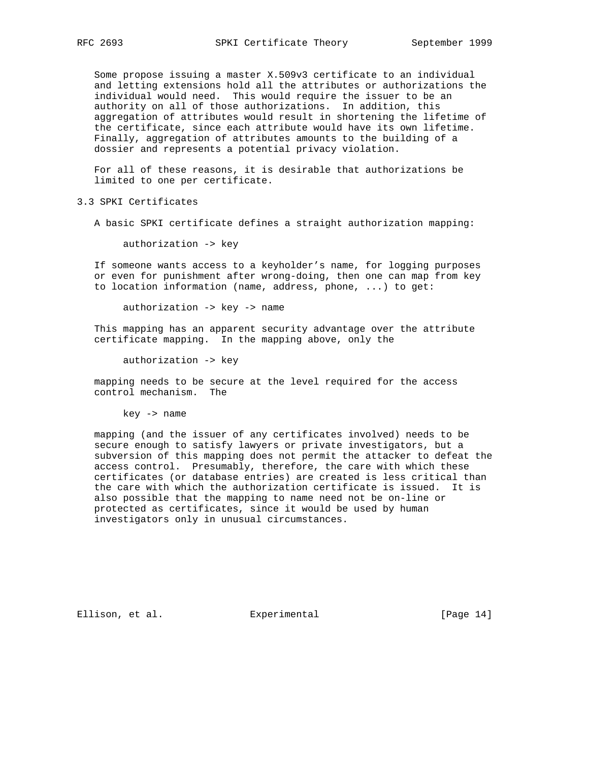Some propose issuing a master X.509v3 certificate to an individual and letting extensions hold all the attributes or authorizations the individual would need. This would require the issuer to be an authority on all of those authorizations. In addition, this aggregation of attributes would result in shortening the lifetime of the certificate, since each attribute would have its own lifetime. Finally, aggregation of attributes amounts to the building of a dossier and represents a potential privacy violation.

 For all of these reasons, it is desirable that authorizations be limited to one per certificate.

3.3 SPKI Certificates

A basic SPKI certificate defines a straight authorization mapping:

authorization -> key

 If someone wants access to a keyholder's name, for logging purposes or even for punishment after wrong-doing, then one can map from key to location information (name, address, phone, ...) to get:

authorization -> key -> name

 This mapping has an apparent security advantage over the attribute certificate mapping. In the mapping above, only the

authorization -> key

 mapping needs to be secure at the level required for the access control mechanism. The

key -> name

 mapping (and the issuer of any certificates involved) needs to be secure enough to satisfy lawyers or private investigators, but a subversion of this mapping does not permit the attacker to defeat the access control. Presumably, therefore, the care with which these certificates (or database entries) are created is less critical than the care with which the authorization certificate is issued. It is also possible that the mapping to name need not be on-line or protected as certificates, since it would be used by human investigators only in unusual circumstances.

Ellison, et al. Experimental [Page 14]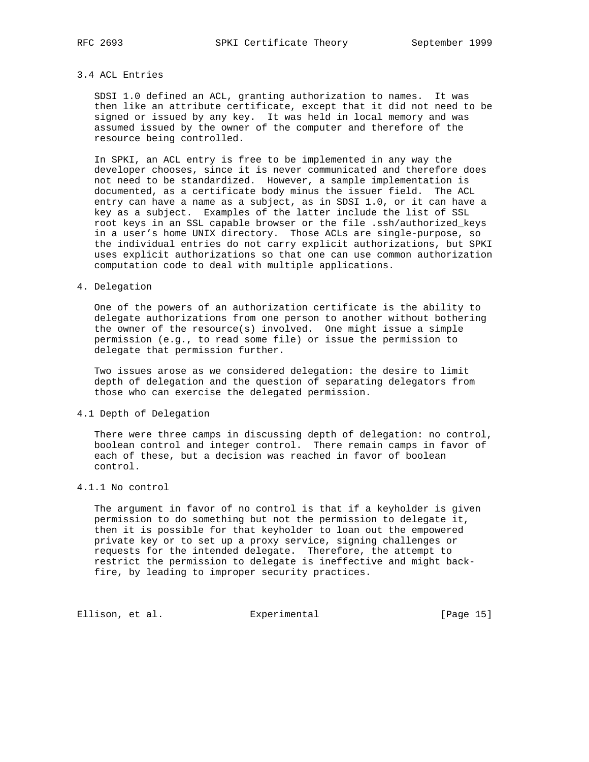# 3.4 ACL Entries

 SDSI 1.0 defined an ACL, granting authorization to names. It was then like an attribute certificate, except that it did not need to be signed or issued by any key. It was held in local memory and was assumed issued by the owner of the computer and therefore of the resource being controlled.

 In SPKI, an ACL entry is free to be implemented in any way the developer chooses, since it is never communicated and therefore does not need to be standardized. However, a sample implementation is documented, as a certificate body minus the issuer field. The ACL entry can have a name as a subject, as in SDSI 1.0, or it can have a key as a subject. Examples of the latter include the list of SSL root keys in an SSL capable browser or the file .ssh/authorized\_keys in a user's home UNIX directory. Those ACLs are single-purpose, so the individual entries do not carry explicit authorizations, but SPKI uses explicit authorizations so that one can use common authorization computation code to deal with multiple applications.

#### 4. Delegation

 One of the powers of an authorization certificate is the ability to delegate authorizations from one person to another without bothering the owner of the resource(s) involved. One might issue a simple permission (e.g., to read some file) or issue the permission to delegate that permission further.

 Two issues arose as we considered delegation: the desire to limit depth of delegation and the question of separating delegators from those who can exercise the delegated permission.

## 4.1 Depth of Delegation

 There were three camps in discussing depth of delegation: no control, boolean control and integer control. There remain camps in favor of each of these, but a decision was reached in favor of boolean control.

#### 4.1.1 No control

 The argument in favor of no control is that if a keyholder is given permission to do something but not the permission to delegate it, then it is possible for that keyholder to loan out the empowered private key or to set up a proxy service, signing challenges or requests for the intended delegate. Therefore, the attempt to restrict the permission to delegate is ineffective and might back fire, by leading to improper security practices.

Ellison, et al. Experimental [Page 15]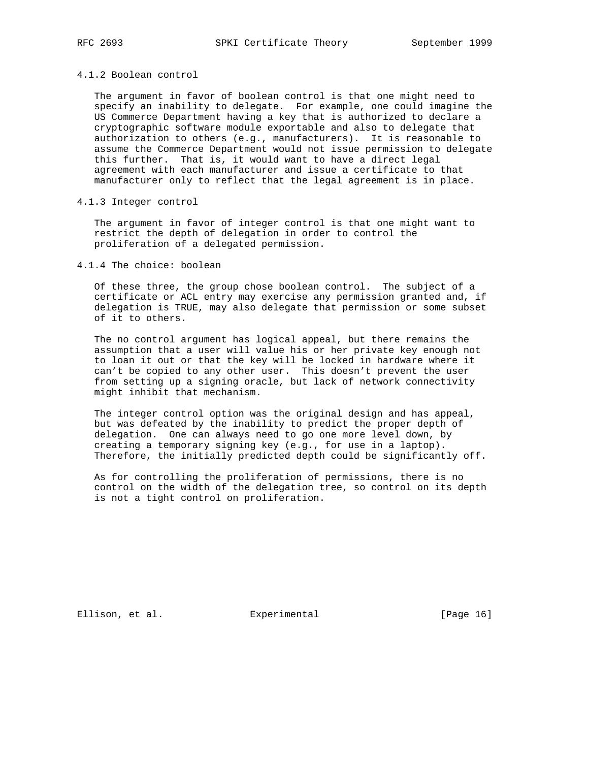#### 4.1.2 Boolean control

 The argument in favor of boolean control is that one might need to specify an inability to delegate. For example, one could imagine the US Commerce Department having a key that is authorized to declare a cryptographic software module exportable and also to delegate that authorization to others (e.g., manufacturers). It is reasonable to assume the Commerce Department would not issue permission to delegate this further. That is, it would want to have a direct legal agreement with each manufacturer and issue a certificate to that manufacturer only to reflect that the legal agreement is in place.

4.1.3 Integer control

 The argument in favor of integer control is that one might want to restrict the depth of delegation in order to control the proliferation of a delegated permission.

4.1.4 The choice: boolean

 Of these three, the group chose boolean control. The subject of a certificate or ACL entry may exercise any permission granted and, if delegation is TRUE, may also delegate that permission or some subset of it to others.

 The no control argument has logical appeal, but there remains the assumption that a user will value his or her private key enough not to loan it out or that the key will be locked in hardware where it can't be copied to any other user. This doesn't prevent the user from setting up a signing oracle, but lack of network connectivity might inhibit that mechanism.

 The integer control option was the original design and has appeal, but was defeated by the inability to predict the proper depth of delegation. One can always need to go one more level down, by creating a temporary signing key (e.g., for use in a laptop). Therefore, the initially predicted depth could be significantly off.

 As for controlling the proliferation of permissions, there is no control on the width of the delegation tree, so control on its depth is not a tight control on proliferation.

Ellison, et al. Experimental [Page 16]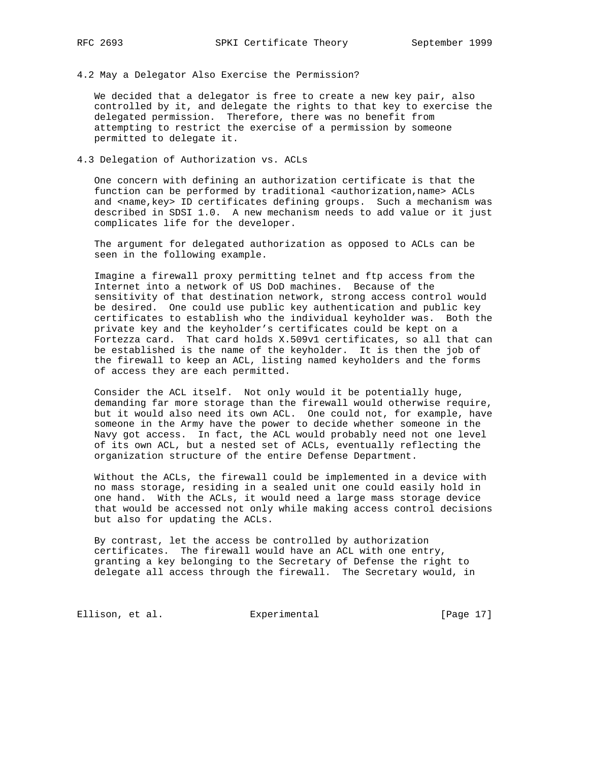4.2 May a Delegator Also Exercise the Permission?

 We decided that a delegator is free to create a new key pair, also controlled by it, and delegate the rights to that key to exercise the delegated permission. Therefore, there was no benefit from attempting to restrict the exercise of a permission by someone permitted to delegate it.

4.3 Delegation of Authorization vs. ACLs

 One concern with defining an authorization certificate is that the function can be performed by traditional <authorization,name> ACLs and <name,key> ID certificates defining groups. Such a mechanism was described in SDSI 1.0. A new mechanism needs to add value or it just complicates life for the developer.

 The argument for delegated authorization as opposed to ACLs can be seen in the following example.

 Imagine a firewall proxy permitting telnet and ftp access from the Internet into a network of US DoD machines. Because of the sensitivity of that destination network, strong access control would be desired. One could use public key authentication and public key certificates to establish who the individual keyholder was. Both the private key and the keyholder's certificates could be kept on a Fortezza card. That card holds X.509v1 certificates, so all that can be established is the name of the keyholder. It is then the job of the firewall to keep an ACL, listing named keyholders and the forms of access they are each permitted.

 Consider the ACL itself. Not only would it be potentially huge, demanding far more storage than the firewall would otherwise require, but it would also need its own ACL. One could not, for example, have someone in the Army have the power to decide whether someone in the Navy got access. In fact, the ACL would probably need not one level of its own ACL, but a nested set of ACLs, eventually reflecting the organization structure of the entire Defense Department.

 Without the ACLs, the firewall could be implemented in a device with no mass storage, residing in a sealed unit one could easily hold in one hand. With the ACLs, it would need a large mass storage device that would be accessed not only while making access control decisions but also for updating the ACLs.

 By contrast, let the access be controlled by authorization certificates. The firewall would have an ACL with one entry, granting a key belonging to the Secretary of Defense the right to delegate all access through the firewall. The Secretary would, in

Ellison, et al. Experimental [Page 17]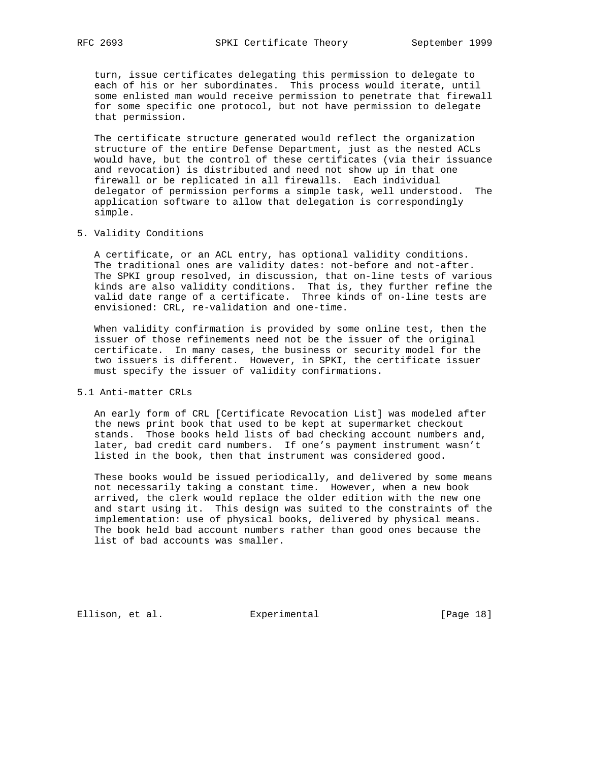turn, issue certificates delegating this permission to delegate to each of his or her subordinates. This process would iterate, until some enlisted man would receive permission to penetrate that firewall for some specific one protocol, but not have permission to delegate that permission.

 The certificate structure generated would reflect the organization structure of the entire Defense Department, just as the nested ACLs would have, but the control of these certificates (via their issuance and revocation) is distributed and need not show up in that one firewall or be replicated in all firewalls. Each individual delegator of permission performs a simple task, well understood. The application software to allow that delegation is correspondingly simple.

#### 5. Validity Conditions

 A certificate, or an ACL entry, has optional validity conditions. The traditional ones are validity dates: not-before and not-after. The SPKI group resolved, in discussion, that on-line tests of various kinds are also validity conditions. That is, they further refine the valid date range of a certificate. Three kinds of on-line tests are envisioned: CRL, re-validation and one-time.

 When validity confirmation is provided by some online test, then the issuer of those refinements need not be the issuer of the original certificate. In many cases, the business or security model for the two issuers is different. However, in SPKI, the certificate issuer must specify the issuer of validity confirmations.

# 5.1 Anti-matter CRLs

 An early form of CRL [Certificate Revocation List] was modeled after the news print book that used to be kept at supermarket checkout stands. Those books held lists of bad checking account numbers and, later, bad credit card numbers. If one's payment instrument wasn't listed in the book, then that instrument was considered good.

 These books would be issued periodically, and delivered by some means not necessarily taking a constant time. However, when a new book arrived, the clerk would replace the older edition with the new one and start using it. This design was suited to the constraints of the implementation: use of physical books, delivered by physical means. The book held bad account numbers rather than good ones because the list of bad accounts was smaller.

Ellison, et al. Experimental [Page 18]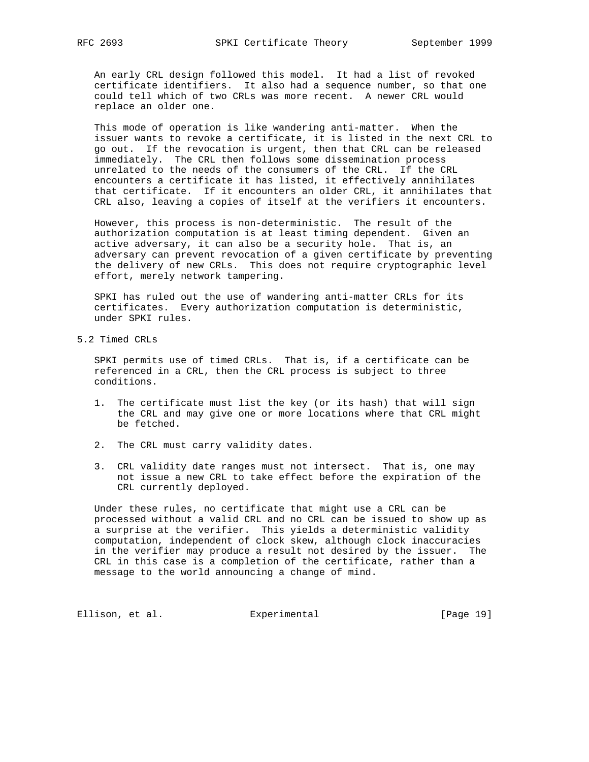An early CRL design followed this model. It had a list of revoked certificate identifiers. It also had a sequence number, so that one could tell which of two CRLs was more recent. A newer CRL would replace an older one.

 This mode of operation is like wandering anti-matter. When the issuer wants to revoke a certificate, it is listed in the next CRL to go out. If the revocation is urgent, then that CRL can be released immediately. The CRL then follows some dissemination process unrelated to the needs of the consumers of the CRL. If the CRL encounters a certificate it has listed, it effectively annihilates that certificate. If it encounters an older CRL, it annihilates that CRL also, leaving a copies of itself at the verifiers it encounters.

 However, this process is non-deterministic. The result of the authorization computation is at least timing dependent. Given an active adversary, it can also be a security hole. That is, an adversary can prevent revocation of a given certificate by preventing the delivery of new CRLs. This does not require cryptographic level effort, merely network tampering.

 SPKI has ruled out the use of wandering anti-matter CRLs for its certificates. Every authorization computation is deterministic, under SPKI rules.

5.2 Timed CRLs

 SPKI permits use of timed CRLs. That is, if a certificate can be referenced in a CRL, then the CRL process is subject to three conditions.

- 1. The certificate must list the key (or its hash) that will sign the CRL and may give one or more locations where that CRL might be fetched.
- 2. The CRL must carry validity dates.
- 3. CRL validity date ranges must not intersect. That is, one may not issue a new CRL to take effect before the expiration of the CRL currently deployed.

 Under these rules, no certificate that might use a CRL can be processed without a valid CRL and no CRL can be issued to show up as a surprise at the verifier. This yields a deterministic validity computation, independent of clock skew, although clock inaccuracies in the verifier may produce a result not desired by the issuer. The CRL in this case is a completion of the certificate, rather than a message to the world announcing a change of mind.

Ellison, et al. Experimental [Page 19]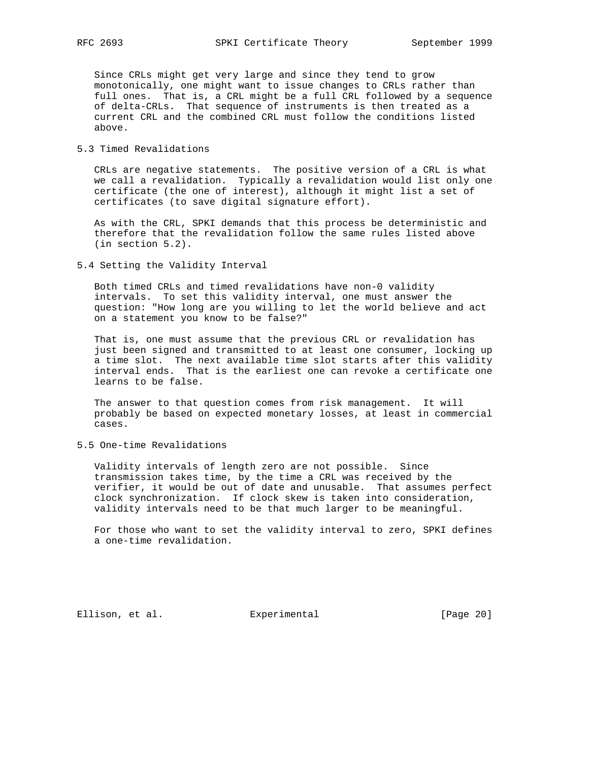Since CRLs might get very large and since they tend to grow monotonically, one might want to issue changes to CRLs rather than full ones. That is, a CRL might be a full CRL followed by a sequence of delta-CRLs. That sequence of instruments is then treated as a current CRL and the combined CRL must follow the conditions listed above.

5.3 Timed Revalidations

 CRLs are negative statements. The positive version of a CRL is what we call a revalidation. Typically a revalidation would list only one certificate (the one of interest), although it might list a set of certificates (to save digital signature effort).

 As with the CRL, SPKI demands that this process be deterministic and therefore that the revalidation follow the same rules listed above (in section 5.2).

5.4 Setting the Validity Interval

 Both timed CRLs and timed revalidations have non-0 validity intervals. To set this validity interval, one must answer the question: "How long are you willing to let the world believe and act on a statement you know to be false?"

 That is, one must assume that the previous CRL or revalidation has just been signed and transmitted to at least one consumer, locking up a time slot. The next available time slot starts after this validity interval ends. That is the earliest one can revoke a certificate one learns to be false.

 The answer to that question comes from risk management. It will probably be based on expected monetary losses, at least in commercial cases.

5.5 One-time Revalidations

 Validity intervals of length zero are not possible. Since transmission takes time, by the time a CRL was received by the verifier, it would be out of date and unusable. That assumes perfect clock synchronization. If clock skew is taken into consideration, validity intervals need to be that much larger to be meaningful.

 For those who want to set the validity interval to zero, SPKI defines a one-time revalidation.

Ellison, et al. Experimental [Page 20]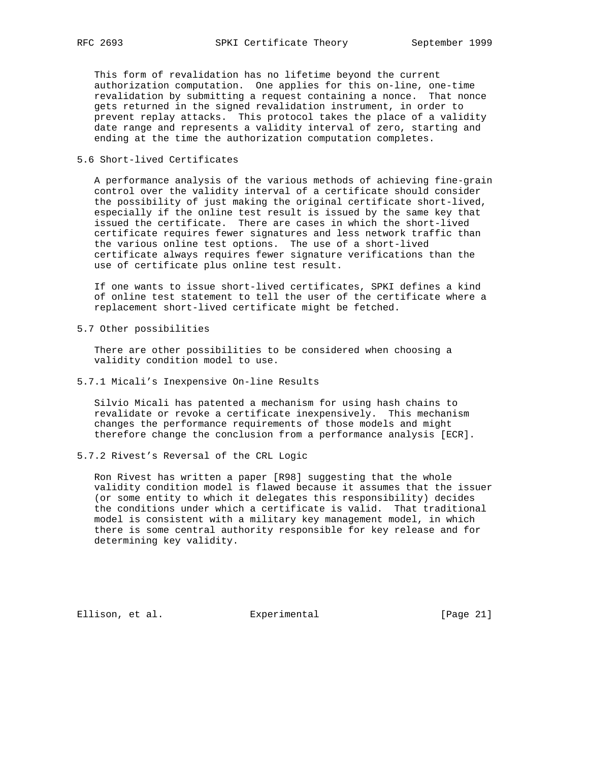This form of revalidation has no lifetime beyond the current authorization computation. One applies for this on-line, one-time revalidation by submitting a request containing a nonce. That nonce gets returned in the signed revalidation instrument, in order to prevent replay attacks. This protocol takes the place of a validity date range and represents a validity interval of zero, starting and ending at the time the authorization computation completes.

# 5.6 Short-lived Certificates

 A performance analysis of the various methods of achieving fine-grain control over the validity interval of a certificate should consider the possibility of just making the original certificate short-lived, especially if the online test result is issued by the same key that issued the certificate. There are cases in which the short-lived certificate requires fewer signatures and less network traffic than the various online test options. The use of a short-lived certificate always requires fewer signature verifications than the use of certificate plus online test result.

 If one wants to issue short-lived certificates, SPKI defines a kind of online test statement to tell the user of the certificate where a replacement short-lived certificate might be fetched.

5.7 Other possibilities

 There are other possibilities to be considered when choosing a validity condition model to use.

5.7.1 Micali's Inexpensive On-line Results

 Silvio Micali has patented a mechanism for using hash chains to revalidate or revoke a certificate inexpensively. This mechanism changes the performance requirements of those models and might therefore change the conclusion from a performance analysis [ECR].

5.7.2 Rivest's Reversal of the CRL Logic

 Ron Rivest has written a paper [R98] suggesting that the whole validity condition model is flawed because it assumes that the issuer (or some entity to which it delegates this responsibility) decides the conditions under which a certificate is valid. That traditional model is consistent with a military key management model, in which there is some central authority responsible for key release and for determining key validity.

Ellison, et al. Experimental [Page 21]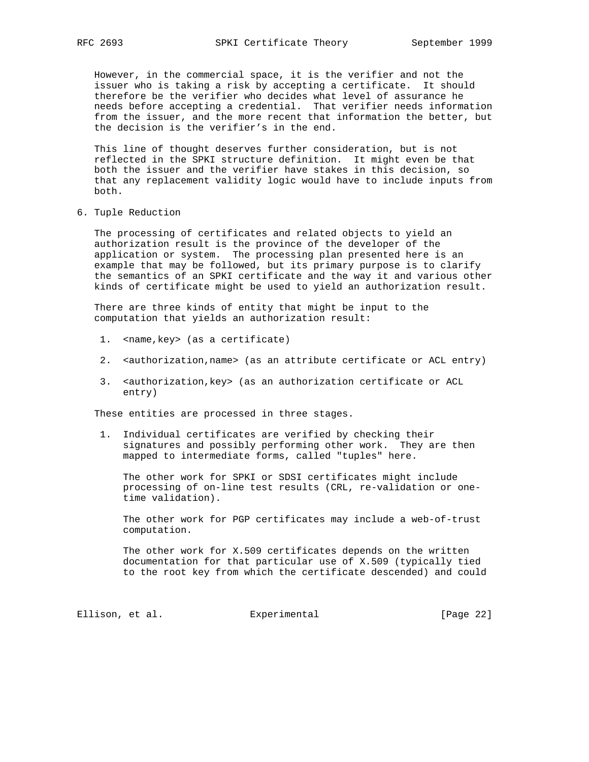However, in the commercial space, it is the verifier and not the issuer who is taking a risk by accepting a certificate. It should therefore be the verifier who decides what level of assurance he needs before accepting a credential. That verifier needs information from the issuer, and the more recent that information the better, but the decision is the verifier's in the end.

 This line of thought deserves further consideration, but is not reflected in the SPKI structure definition. It might even be that both the issuer and the verifier have stakes in this decision, so that any replacement validity logic would have to include inputs from both.

6. Tuple Reduction

 The processing of certificates and related objects to yield an authorization result is the province of the developer of the application or system. The processing plan presented here is an example that may be followed, but its primary purpose is to clarify the semantics of an SPKI certificate and the way it and various other kinds of certificate might be used to yield an authorization result.

 There are three kinds of entity that might be input to the computation that yields an authorization result:

- 1. <name,key> (as a certificate)
- 2. <authorization,name> (as an attribute certificate or ACL entry)
- 3. <authorization,key> (as an authorization certificate or ACL entry)

These entities are processed in three stages.

 1. Individual certificates are verified by checking their signatures and possibly performing other work. They are then mapped to intermediate forms, called "tuples" here.

 The other work for SPKI or SDSI certificates might include processing of on-line test results (CRL, re-validation or one time validation).

 The other work for PGP certificates may include a web-of-trust computation.

 The other work for X.509 certificates depends on the written documentation for that particular use of X.509 (typically tied to the root key from which the certificate descended) and could

Ellison, et al. Experimental [Page 22]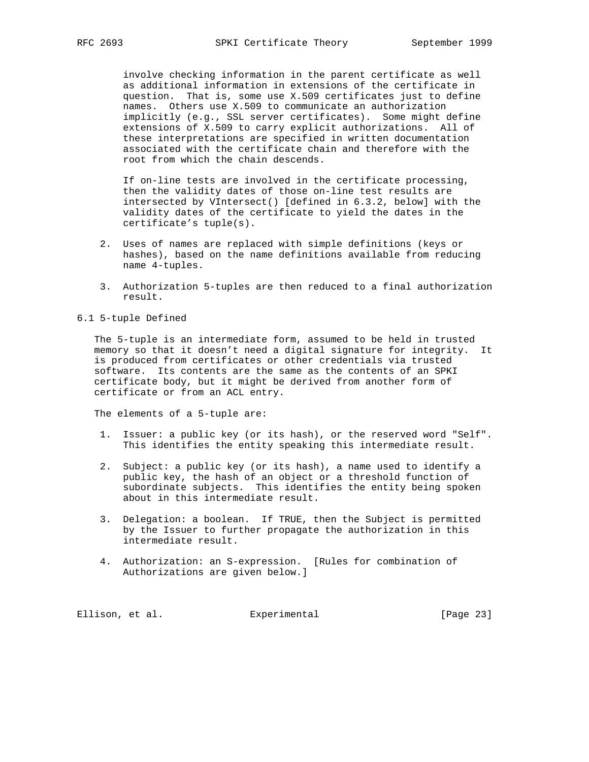involve checking information in the parent certificate as well as additional information in extensions of the certificate in question. That is, some use X.509 certificates just to define names. Others use X.509 to communicate an authorization implicitly (e.g., SSL server certificates). Some might define extensions of X.509 to carry explicit authorizations. All of these interpretations are specified in written documentation associated with the certificate chain and therefore with the root from which the chain descends.

 If on-line tests are involved in the certificate processing, then the validity dates of those on-line test results are intersected by VIntersect() [defined in 6.3.2, below] with the validity dates of the certificate to yield the dates in the certificate's tuple(s).

- 2. Uses of names are replaced with simple definitions (keys or hashes), based on the name definitions available from reducing name 4-tuples.
- 3. Authorization 5-tuples are then reduced to a final authorization result.
- 6.1 5-tuple Defined

 The 5-tuple is an intermediate form, assumed to be held in trusted memory so that it doesn't need a digital signature for integrity. It is produced from certificates or other credentials via trusted software. Its contents are the same as the contents of an SPKI certificate body, but it might be derived from another form of certificate or from an ACL entry.

The elements of a 5-tuple are:

- 1. Issuer: a public key (or its hash), or the reserved word "Self". This identifies the entity speaking this intermediate result.
- 2. Subject: a public key (or its hash), a name used to identify a public key, the hash of an object or a threshold function of subordinate subjects. This identifies the entity being spoken about in this intermediate result.
- 3. Delegation: a boolean. If TRUE, then the Subject is permitted by the Issuer to further propagate the authorization in this intermediate result.
- 4. Authorization: an S-expression. [Rules for combination of Authorizations are given below.]

Ellison, et al. Experimental [Page 23]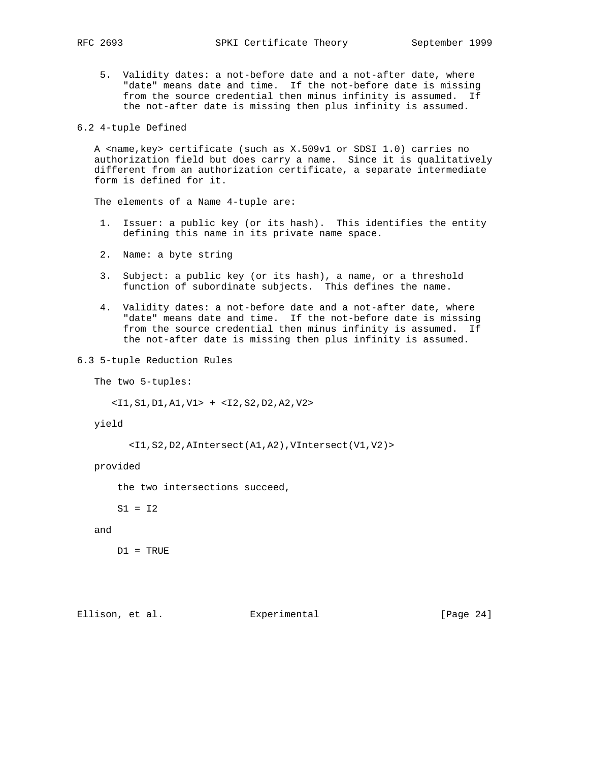- 5. Validity dates: a not-before date and a not-after date, where "date" means date and time. If the not-before date is missing from the source credential then minus infinity is assumed. If the not-after date is missing then plus infinity is assumed.
- 6.2 4-tuple Defined

 A <name,key> certificate (such as X.509v1 or SDSI 1.0) carries no authorization field but does carry a name. Since it is qualitatively different from an authorization certificate, a separate intermediate form is defined for it.

The elements of a Name 4-tuple are:

- 1. Issuer: a public key (or its hash). This identifies the entity defining this name in its private name space.
- 2. Name: a byte string
- 3. Subject: a public key (or its hash), a name, or a threshold function of subordinate subjects. This defines the name.
- 4. Validity dates: a not-before date and a not-after date, where "date" means date and time. If the not-before date is missing from the source credential then minus infinity is assumed. If the not-after date is missing then plus infinity is assumed.
- 6.3 5-tuple Reduction Rules

The two 5-tuples:

<I1,S1,D1,A1,V1> + <I2,S2,D2,A2,V2>

yield

```
 <I1,S2,D2,AIntersect(A1,A2),VIntersect(V1,V2)>
```
provided

the two intersections succeed,

 $S1 = I2$ 

and

D1 = TRUE

Ellison, et al. Experimental [Page 24]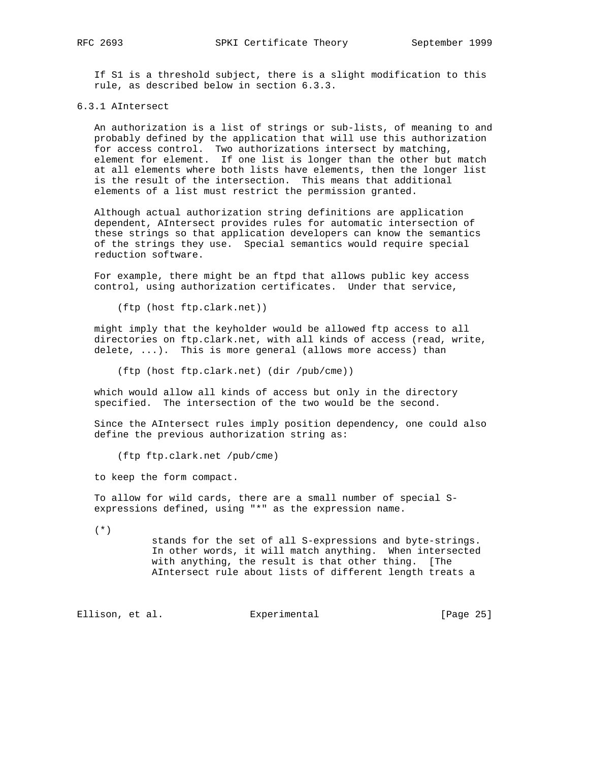If S1 is a threshold subject, there is a slight modification to this rule, as described below in section 6.3.3.

# 6.3.1 AIntersect

 An authorization is a list of strings or sub-lists, of meaning to and probably defined by the application that will use this authorization for access control. Two authorizations intersect by matching, element for element. If one list is longer than the other but match at all elements where both lists have elements, then the longer list is the result of the intersection. This means that additional elements of a list must restrict the permission granted.

 Although actual authorization string definitions are application dependent, AIntersect provides rules for automatic intersection of these strings so that application developers can know the semantics of the strings they use. Special semantics would require special reduction software.

 For example, there might be an ftpd that allows public key access control, using authorization certificates. Under that service,

(ftp (host ftp.clark.net))

 might imply that the keyholder would be allowed ftp access to all directories on ftp.clark.net, with all kinds of access (read, write, delete, ...). This is more general (allows more access) than

(ftp (host ftp.clark.net) (dir /pub/cme))

 which would allow all kinds of access but only in the directory specified. The intersection of the two would be the second.

 Since the AIntersect rules imply position dependency, one could also define the previous authorization string as:

(ftp ftp.clark.net /pub/cme)

to keep the form compact.

 To allow for wild cards, there are a small number of special S expressions defined, using "\*" as the expression name.

(\*)

 stands for the set of all S-expressions and byte-strings. In other words, it will match anything. When intersected with anything, the result is that other thing. [The AIntersect rule about lists of different length treats a

Ellison, et al. Experimental [Page 25]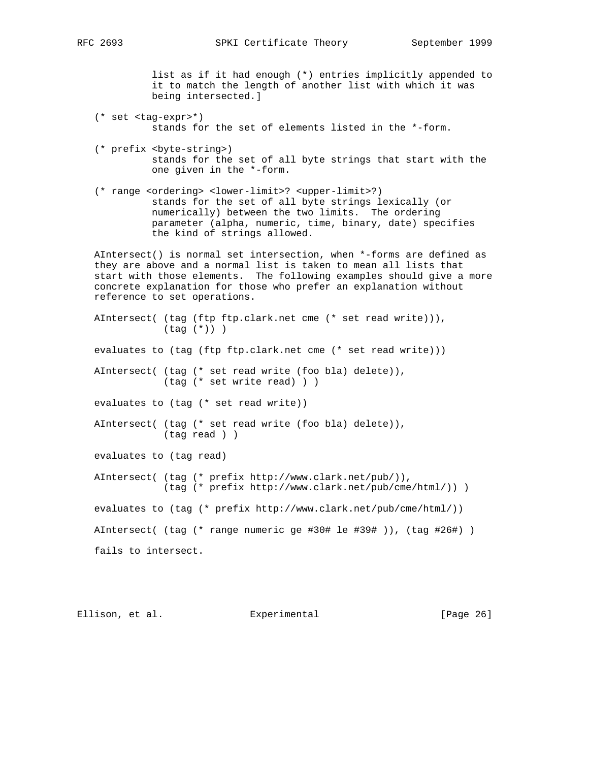list as if it had enough (\*) entries implicitly appended to it to match the length of another list with which it was being intersected.]

- (\* set <tag-expr>\*) stands for the set of elements listed in the \*-form.
- (\* prefix <byte-string>) stands for the set of all byte strings that start with the one given in the \*-form.
- (\* range <ordering> <lower-limit>? <upper-limit>?) stands for the set of all byte strings lexically (or numerically) between the two limits. The ordering parameter (alpha, numeric, time, binary, date) specifies the kind of strings allowed.

 AIntersect() is normal set intersection, when \*-forms are defined as they are above and a normal list is taken to mean all lists that start with those elements. The following examples should give a more concrete explanation for those who prefer an explanation without reference to set operations.

 AIntersect( (tag (ftp ftp.clark.net cme (\* set read write))), (tag (\*)) )

evaluates to (tag (ftp ftp.clark.net cme (\* set read write)))

 AIntersect( (tag (\* set read write (foo bla) delete)), (tag (\* set write read) ) )

evaluates to (tag (\* set read write))

 AIntersect( (tag (\* set read write (foo bla) delete)), (tag read ) )

evaluates to (tag read)

 AIntersect( (tag (\* prefix http://www.clark.net/pub/)), (tag (\* prefix http://www.clark.net/pub/cme/html/)) ) evaluates to (tag (\* prefix http://www.clark.net/pub/cme/html/)) AIntersect( (tag (\* range numeric ge #30# le #39# )), (tag #26#) ) fails to intersect.

Ellison, et al. Experimental [Page 26]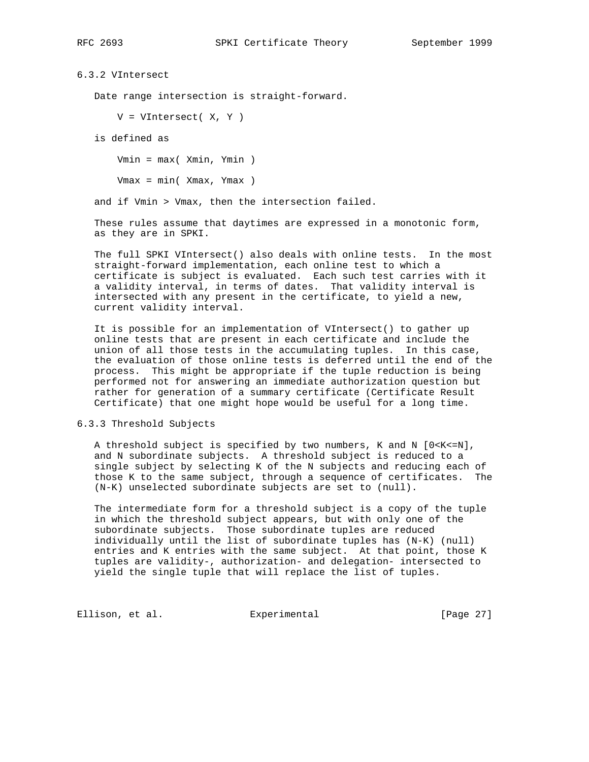6.3.2 VIntersect

Date range intersection is straight-forward.

 $V = VIntersect(X, Y)$ 

is defined as

Vmin = max( Xmin, Ymin )

Vmax = min( Xmax, Ymax )

and if Vmin > Vmax, then the intersection failed.

 These rules assume that daytimes are expressed in a monotonic form, as they are in SPKI.

 The full SPKI VIntersect() also deals with online tests. In the most straight-forward implementation, each online test to which a certificate is subject is evaluated. Each such test carries with it a validity interval, in terms of dates. That validity interval is intersected with any present in the certificate, to yield a new, current validity interval.

 It is possible for an implementation of VIntersect() to gather up online tests that are present in each certificate and include the union of all those tests in the accumulating tuples. In this case, the evaluation of those online tests is deferred until the end of the process. This might be appropriate if the tuple reduction is being performed not for answering an immediate authorization question but rather for generation of a summary certificate (Certificate Result Certificate) that one might hope would be useful for a long time.

6.3.3 Threshold Subjects

 A threshold subject is specified by two numbers, K and N [0<K<=N], and N subordinate subjects. A threshold subject is reduced to a single subject by selecting K of the N subjects and reducing each of those K to the same subject, through a sequence of certificates. The (N-K) unselected subordinate subjects are set to (null).

 The intermediate form for a threshold subject is a copy of the tuple in which the threshold subject appears, but with only one of the subordinate subjects. Those subordinate tuples are reduced individually until the list of subordinate tuples has (N-K) (null) entries and K entries with the same subject. At that point, those K tuples are validity-, authorization- and delegation- intersected to yield the single tuple that will replace the list of tuples.

Ellison, et al. Experimental Formula (Page 27)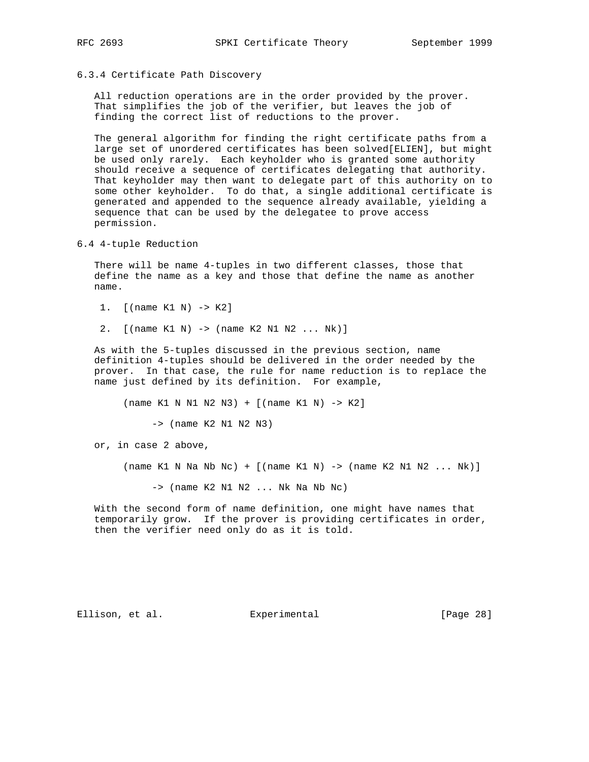- 
- 6.3.4 Certificate Path Discovery

 All reduction operations are in the order provided by the prover. That simplifies the job of the verifier, but leaves the job of finding the correct list of reductions to the prover.

 The general algorithm for finding the right certificate paths from a large set of unordered certificates has been solved[ELIEN], but might be used only rarely. Each keyholder who is granted some authority should receive a sequence of certificates delegating that authority. That keyholder may then want to delegate part of this authority on to some other keyholder. To do that, a single additional certificate is generated and appended to the sequence already available, yielding a sequence that can be used by the delegatee to prove access permission.

6.4 4-tuple Reduction

 There will be name 4-tuples in two different classes, those that define the name as a key and those that define the name as another name.

- 1. [(name K1 N) -> K2]
- 2. [(name K1 N) -> (name K2 N1 N2 ... Nk)]

 As with the 5-tuples discussed in the previous section, name definition 4-tuples should be delivered in the order needed by the prover. In that case, the rule for name reduction is to replace the name just defined by its definition. For example,

 $(name K1 N N1 N2 N3) + [(name K1 N) -> K2]$ 

 $\rightarrow$  (name K2 N1 N2 N3)

or, in case 2 above,

(name K1 N Na Nb Nc) +  $[$  (name K1 N) -> (name K2 N1 N2 ... Nk)]

 $\rightarrow$  (name K2 N1 N2 ... Nk Na Nb Nc)

 With the second form of name definition, one might have names that temporarily grow. If the prover is providing certificates in order, then the verifier need only do as it is told.

Ellison, et al. Experimental [Page 28]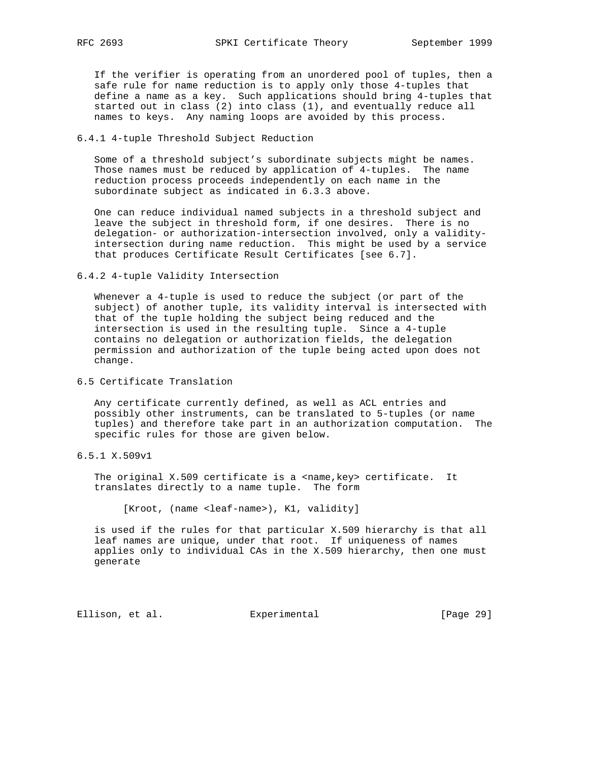If the verifier is operating from an unordered pool of tuples, then a safe rule for name reduction is to apply only those 4-tuples that define a name as a key. Such applications should bring 4-tuples that started out in class (2) into class (1), and eventually reduce all names to keys. Any naming loops are avoided by this process.

# 6.4.1 4-tuple Threshold Subject Reduction

 Some of a threshold subject's subordinate subjects might be names. Those names must be reduced by application of 4-tuples. The name reduction process proceeds independently on each name in the subordinate subject as indicated in 6.3.3 above.

 One can reduce individual named subjects in a threshold subject and leave the subject in threshold form, if one desires. There is no delegation- or authorization-intersection involved, only a validity intersection during name reduction. This might be used by a service that produces Certificate Result Certificates [see 6.7].

6.4.2 4-tuple Validity Intersection

 Whenever a 4-tuple is used to reduce the subject (or part of the subject) of another tuple, its validity interval is intersected with that of the tuple holding the subject being reduced and the intersection is used in the resulting tuple. Since a 4-tuple contains no delegation or authorization fields, the delegation permission and authorization of the tuple being acted upon does not change.

6.5 Certificate Translation

 Any certificate currently defined, as well as ACL entries and possibly other instruments, can be translated to 5-tuples (or name tuples) and therefore take part in an authorization computation. The specific rules for those are given below.

6.5.1 X.509v1

The original X.509 certificate is a <name, key> certificate. It translates directly to a name tuple. The form

[Kroot, (name <leaf-name>), K1, validity]

 is used if the rules for that particular X.509 hierarchy is that all leaf names are unique, under that root. If uniqueness of names applies only to individual CAs in the X.509 hierarchy, then one must generate

Ellison, et al. Experimental [Page 29]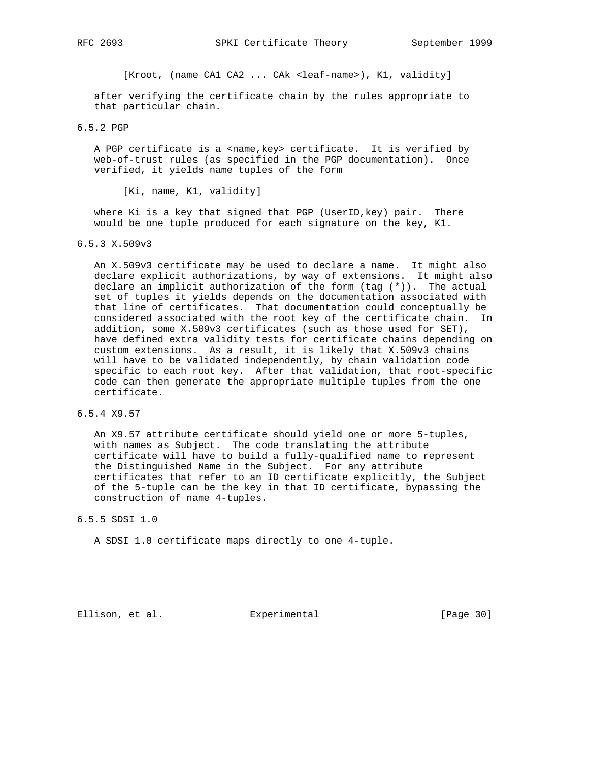[Kroot, (name CA1 CA2 ... CAk <leaf-name>), K1, validity]

 after verifying the certificate chain by the rules appropriate to that particular chain.

# 6.5.2 PGP

A PGP certificate is a <name, key> certificate. It is verified by web-of-trust rules (as specified in the PGP documentation). Once verified, it yields name tuples of the form

[Ki, name, K1, validity]

 where Ki is a key that signed that PGP (UserID,key) pair. There would be one tuple produced for each signature on the key, K1.

#### 6.5.3 X.509v3

 An X.509v3 certificate may be used to declare a name. It might also declare explicit authorizations, by way of extensions. It might also declare an implicit authorization of the form (tag (\*)). The actual set of tuples it yields depends on the documentation associated with that line of certificates. That documentation could conceptually be considered associated with the root key of the certificate chain. In addition, some X.509v3 certificates (such as those used for SET), have defined extra validity tests for certificate chains depending on custom extensions. As a result, it is likely that X.509v3 chains will have to be validated independently, by chain validation code specific to each root key. After that validation, that root-specific code can then generate the appropriate multiple tuples from the one certificate.

6.5.4 X9.57

 An X9.57 attribute certificate should yield one or more 5-tuples, with names as Subject. The code translating the attribute certificate will have to build a fully-qualified name to represent the Distinguished Name in the Subject. For any attribute certificates that refer to an ID certificate explicitly, the Subject of the 5-tuple can be the key in that ID certificate, bypassing the construction of name 4-tuples.

6.5.5 SDSI 1.0

A SDSI 1.0 certificate maps directly to one 4-tuple.

Ellison, et al. Experimental [Page 30]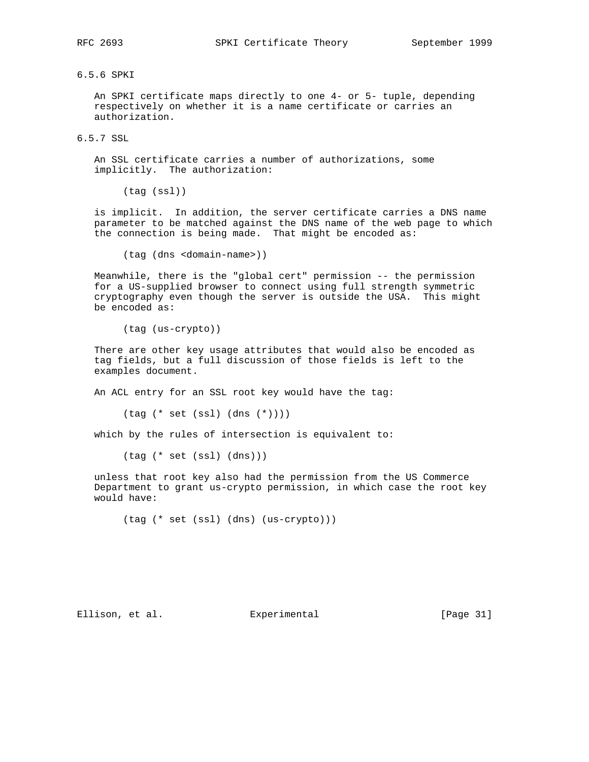6.5.6 SPKI

 An SPKI certificate maps directly to one 4- or 5- tuple, depending respectively on whether it is a name certificate or carries an authorization.

6.5.7 SSL

 An SSL certificate carries a number of authorizations, some implicitly. The authorization:

(tag (ssl))

 is implicit. In addition, the server certificate carries a DNS name parameter to be matched against the DNS name of the web page to which the connection is being made. That might be encoded as:

(tag (dns <domain-name>))

 Meanwhile, there is the "global cert" permission -- the permission for a US-supplied browser to connect using full strength symmetric cryptography even though the server is outside the USA. This might be encoded as:

(tag (us-crypto))

 There are other key usage attributes that would also be encoded as tag fields, but a full discussion of those fields is left to the examples document.

An ACL entry for an SSL root key would have the tag:

(tag (\* set (ssl) (dns (\*))))

which by the rules of intersection is equivalent to:

(tag (\* set (ssl) (dns)))

 unless that root key also had the permission from the US Commerce Department to grant us-crypto permission, in which case the root key would have:

(tag (\* set (ssl) (dns) (us-crypto)))

Ellison, et al. Experimental [Page 31]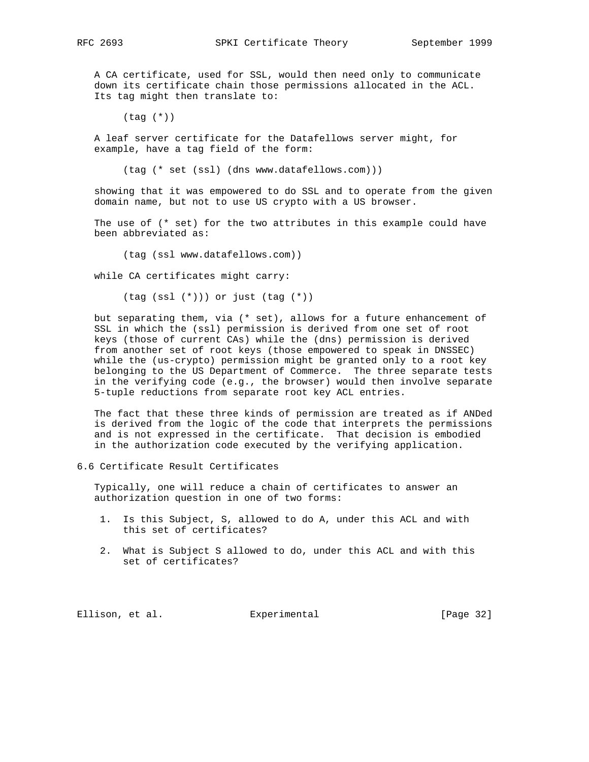A CA certificate, used for SSL, would then need only to communicate down its certificate chain those permissions allocated in the ACL. Its tag might then translate to:

(tag (\*))

 A leaf server certificate for the Datafellows server might, for example, have a tag field of the form:

(tag (\* set (ssl) (dns www.datafellows.com)))

 showing that it was empowered to do SSL and to operate from the given domain name, but not to use US crypto with a US browser.

 The use of (\* set) for the two attributes in this example could have been abbreviated as:

(tag (ssl www.datafellows.com))

while CA certificates might carry:

(tag (ssl (\*))) or just (tag (\*))

 but separating them, via (\* set), allows for a future enhancement of SSL in which the (ssl) permission is derived from one set of root keys (those of current CAs) while the (dns) permission is derived from another set of root keys (those empowered to speak in DNSSEC) while the (us-crypto) permission might be granted only to a root key belonging to the US Department of Commerce. The three separate tests in the verifying code (e.g., the browser) would then involve separate 5-tuple reductions from separate root key ACL entries.

 The fact that these three kinds of permission are treated as if ANDed is derived from the logic of the code that interprets the permissions and is not expressed in the certificate. That decision is embodied in the authorization code executed by the verifying application.

6.6 Certificate Result Certificates

 Typically, one will reduce a chain of certificates to answer an authorization question in one of two forms:

- 1. Is this Subject, S, allowed to do A, under this ACL and with this set of certificates?
- 2. What is Subject S allowed to do, under this ACL and with this set of certificates?

Ellison, et al. Experimental [Page 32]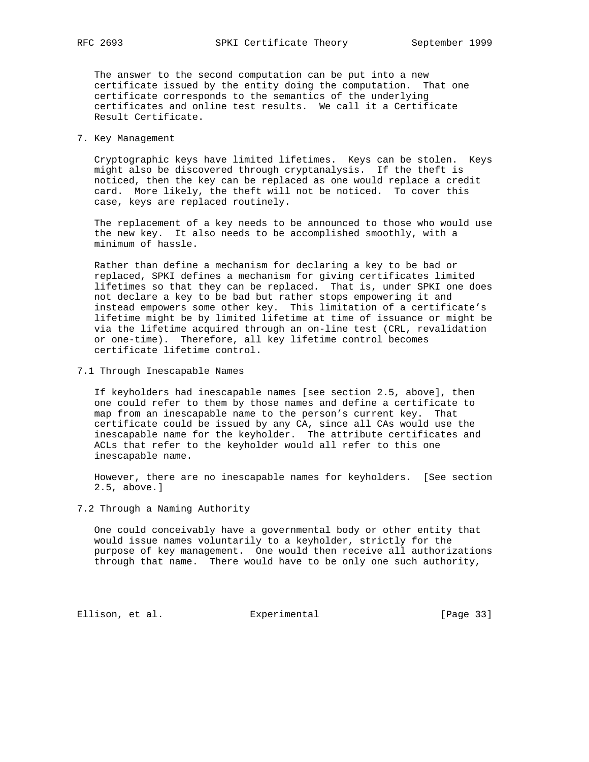The answer to the second computation can be put into a new certificate issued by the entity doing the computation. That one certificate corresponds to the semantics of the underlying certificates and online test results. We call it a Certificate Result Certificate.

# 7. Key Management

 Cryptographic keys have limited lifetimes. Keys can be stolen. Keys might also be discovered through cryptanalysis. If the theft is noticed, then the key can be replaced as one would replace a credit card. More likely, the theft will not be noticed. To cover this case, keys are replaced routinely.

 The replacement of a key needs to be announced to those who would use the new key. It also needs to be accomplished smoothly, with a minimum of hassle.

 Rather than define a mechanism for declaring a key to be bad or replaced, SPKI defines a mechanism for giving certificates limited lifetimes so that they can be replaced. That is, under SPKI one does not declare a key to be bad but rather stops empowering it and instead empowers some other key. This limitation of a certificate's lifetime might be by limited lifetime at time of issuance or might be via the lifetime acquired through an on-line test (CRL, revalidation or one-time). Therefore, all key lifetime control becomes certificate lifetime control.

7.1 Through Inescapable Names

 If keyholders had inescapable names [see section 2.5, above], then one could refer to them by those names and define a certificate to map from an inescapable name to the person's current key. That certificate could be issued by any CA, since all CAs would use the inescapable name for the keyholder. The attribute certificates and ACLs that refer to the keyholder would all refer to this one inescapable name.

 However, there are no inescapable names for keyholders. [See section 2.5, above.]

7.2 Through a Naming Authority

 One could conceivably have a governmental body or other entity that would issue names voluntarily to a keyholder, strictly for the purpose of key management. One would then receive all authorizations through that name. There would have to be only one such authority,

Ellison, et al. Experimental [Page 33]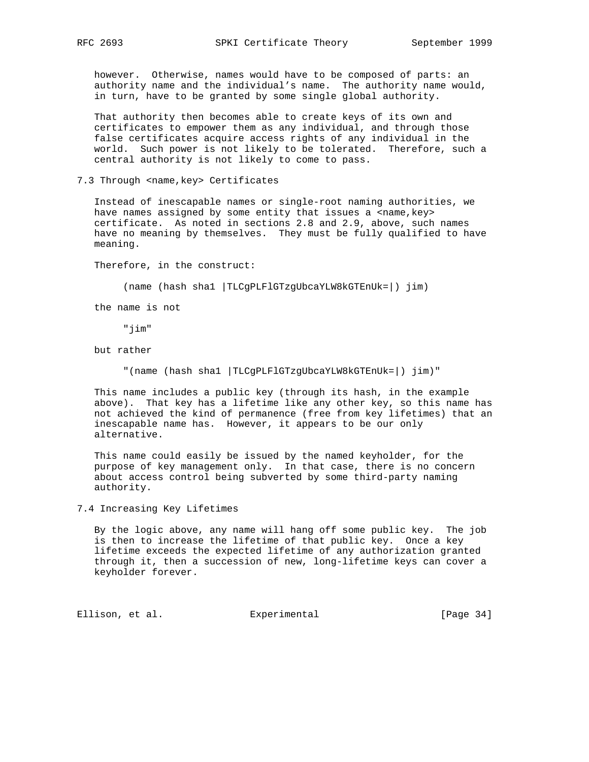however. Otherwise, names would have to be composed of parts: an authority name and the individual's name. The authority name would, in turn, have to be granted by some single global authority.

 That authority then becomes able to create keys of its own and certificates to empower them as any individual, and through those false certificates acquire access rights of any individual in the world. Such power is not likely to be tolerated. Therefore, such a central authority is not likely to come to pass.

7.3 Through <name, key> Certificates

 Instead of inescapable names or single-root naming authorities, we have names assigned by some entity that issues a <name, key> certificate. As noted in sections 2.8 and 2.9, above, such names have no meaning by themselves. They must be fully qualified to have meaning.

Therefore, in the construct:

(name (hash sha1 |TLCgPLFlGTzgUbcaYLW8kGTEnUk=|) jim)

the name is not

"jim"

but rather

"(name (hash sha1 |TLCgPLFlGTzgUbcaYLW8kGTEnUk=|) jim)"

 This name includes a public key (through its hash, in the example above). That key has a lifetime like any other key, so this name has not achieved the kind of permanence (free from key lifetimes) that an inescapable name has. However, it appears to be our only alternative.

 This name could easily be issued by the named keyholder, for the purpose of key management only. In that case, there is no concern about access control being subverted by some third-party naming authority.

7.4 Increasing Key Lifetimes

 By the logic above, any name will hang off some public key. The job is then to increase the lifetime of that public key. Once a key lifetime exceeds the expected lifetime of any authorization granted through it, then a succession of new, long-lifetime keys can cover a keyholder forever.

Ellison, et al. Experimental [Page 34]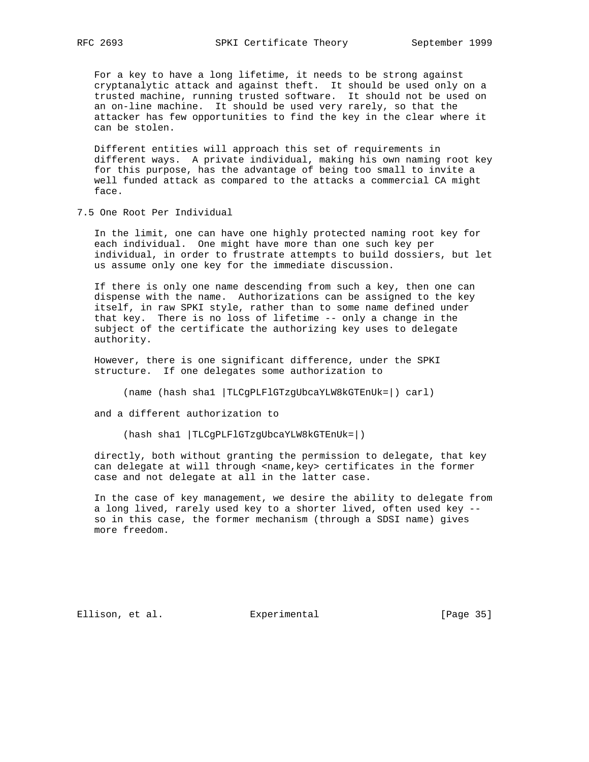For a key to have a long lifetime, it needs to be strong against cryptanalytic attack and against theft. It should be used only on a trusted machine, running trusted software. It should not be used on an on-line machine. It should be used very rarely, so that the attacker has few opportunities to find the key in the clear where it can be stolen.

 Different entities will approach this set of requirements in different ways. A private individual, making his own naming root key for this purpose, has the advantage of being too small to invite a well funded attack as compared to the attacks a commercial CA might face.

7.5 One Root Per Individual

 In the limit, one can have one highly protected naming root key for each individual. One might have more than one such key per individual, in order to frustrate attempts to build dossiers, but let us assume only one key for the immediate discussion.

 If there is only one name descending from such a key, then one can dispense with the name. Authorizations can be assigned to the key itself, in raw SPKI style, rather than to some name defined under that key. There is no loss of lifetime -- only a change in the subject of the certificate the authorizing key uses to delegate authority.

 However, there is one significant difference, under the SPKI structure. If one delegates some authorization to

(name (hash sha1 |TLCgPLFlGTzgUbcaYLW8kGTEnUk=|) carl)

and a different authorization to

(hash sha1 |TLCgPLFlGTzgUbcaYLW8kGTEnUk=|)

 directly, both without granting the permission to delegate, that key can delegate at will through <name,key> certificates in the former case and not delegate at all in the latter case.

 In the case of key management, we desire the ability to delegate from a long lived, rarely used key to a shorter lived, often used key - so in this case, the former mechanism (through a SDSI name) gives more freedom.

Ellison, et al. Experimental [Page 35]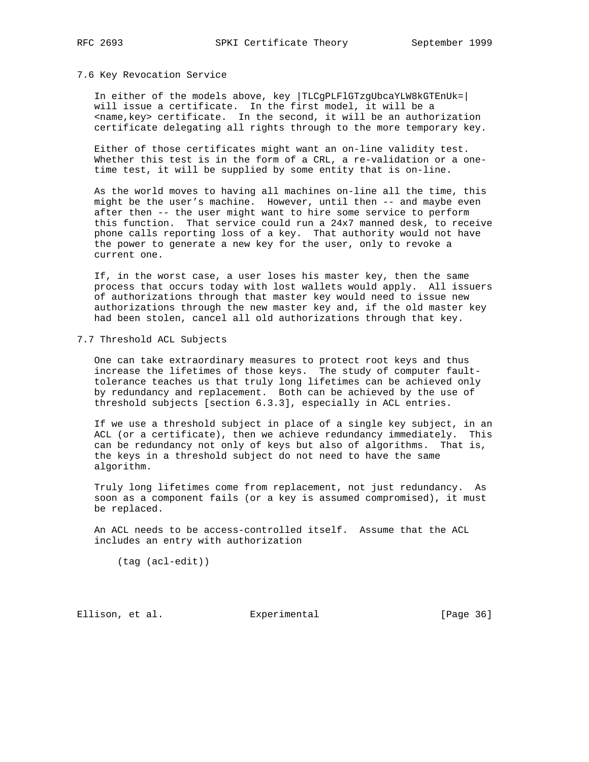#### 7.6 Key Revocation Service

 In either of the models above, key |TLCgPLFlGTzgUbcaYLW8kGTEnUk=| will issue a certificate. In the first model, it will be a <name,key> certificate. In the second, it will be an authorization certificate delegating all rights through to the more temporary key.

 Either of those certificates might want an on-line validity test. Whether this test is in the form of a CRL, a re-validation or a one time test, it will be supplied by some entity that is on-line.

 As the world moves to having all machines on-line all the time, this might be the user's machine. However, until then -- and maybe even after then -- the user might want to hire some service to perform this function. That service could run a 24x7 manned desk, to receive phone calls reporting loss of a key. That authority would not have the power to generate a new key for the user, only to revoke a current one.

 If, in the worst case, a user loses his master key, then the same process that occurs today with lost wallets would apply. All issuers of authorizations through that master key would need to issue new authorizations through the new master key and, if the old master key had been stolen, cancel all old authorizations through that key.

7.7 Threshold ACL Subjects

 One can take extraordinary measures to protect root keys and thus increase the lifetimes of those keys. The study of computer fault tolerance teaches us that truly long lifetimes can be achieved only by redundancy and replacement. Both can be achieved by the use of threshold subjects [section 6.3.3], especially in ACL entries.

 If we use a threshold subject in place of a single key subject, in an ACL (or a certificate), then we achieve redundancy immediately. This can be redundancy not only of keys but also of algorithms. That is, the keys in a threshold subject do not need to have the same algorithm.

 Truly long lifetimes come from replacement, not just redundancy. As soon as a component fails (or a key is assumed compromised), it must be replaced.

 An ACL needs to be access-controlled itself. Assume that the ACL includes an entry with authorization

(tag (acl-edit))

Ellison, et al. Experimental [Page 36]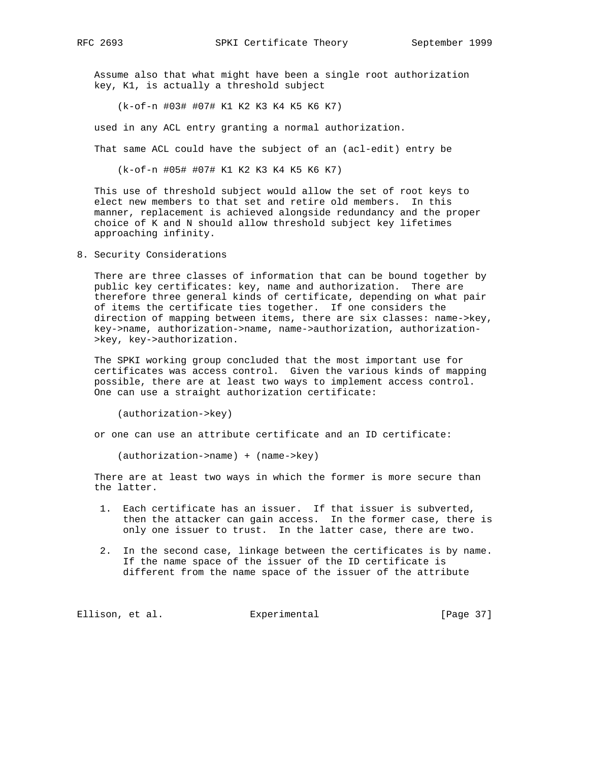Assume also that what might have been a single root authorization key, K1, is actually a threshold subject

(k-of-n #03# #07# K1 K2 K3 K4 K5 K6 K7)

used in any ACL entry granting a normal authorization.

That same ACL could have the subject of an (acl-edit) entry be

(k-of-n #05# #07# K1 K2 K3 K4 K5 K6 K7)

 This use of threshold subject would allow the set of root keys to elect new members to that set and retire old members. In this manner, replacement is achieved alongside redundancy and the proper choice of K and N should allow threshold subject key lifetimes approaching infinity.

8. Security Considerations

 There are three classes of information that can be bound together by public key certificates: key, name and authorization. There are therefore three general kinds of certificate, depending on what pair of items the certificate ties together. If one considers the direction of mapping between items, there are six classes: name->key, key->name, authorization->name, name->authorization, authorization- >key, key->authorization.

 The SPKI working group concluded that the most important use for certificates was access control. Given the various kinds of mapping possible, there are at least two ways to implement access control. One can use a straight authorization certificate:

(authorization->key)

or one can use an attribute certificate and an ID certificate:

(authorization->name) + (name->key)

 There are at least two ways in which the former is more secure than the latter.

- 1. Each certificate has an issuer. If that issuer is subverted, then the attacker can gain access. In the former case, there is only one issuer to trust. In the latter case, there are two.
- 2. In the second case, linkage between the certificates is by name. If the name space of the issuer of the ID certificate is different from the name space of the issuer of the attribute

Ellison, et al. Experimental [Page 37]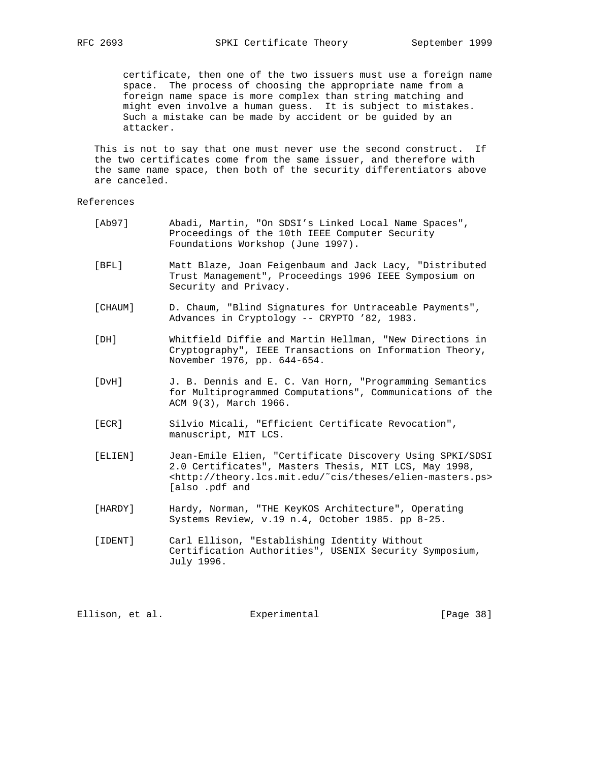certificate, then one of the two issuers must use a foreign name space. The process of choosing the appropriate name from a foreign name space is more complex than string matching and might even involve a human guess. It is subject to mistakes. Such a mistake can be made by accident or be guided by an attacker.

 This is not to say that one must never use the second construct. If the two certificates come from the same issuer, and therefore with the same name space, then both of the security differentiators above are canceled.

## References

- [Ab97] Abadi, Martin, "On SDSI's Linked Local Name Spaces", Proceedings of the 10th IEEE Computer Security Foundations Workshop (June 1997). [BFL] Matt Blaze, Joan Feigenbaum and Jack Lacy, "Distributed Trust Management", Proceedings 1996 IEEE Symposium on Security and Privacy. [CHAUM] D. Chaum, "Blind Signatures for Untraceable Payments", Advances in Cryptology -- CRYPTO '82, 1983. [DH] Whitfield Diffie and Martin Hellman, "New Directions in Cryptography", IEEE Transactions on Information Theory, November 1976, pp. 644-654. [DvH] J. B. Dennis and E. C. Van Horn, "Programming Semantics for Multiprogrammed Computations", Communications of the ACM 9(3), March 1966. [ECR] Silvio Micali, "Efficient Certificate Revocation", manuscript, MIT LCS. [ELIEN] Jean-Emile Elien, "Certificate Discovery Using SPKI/SDSI
- 2.0 Certificates", Masters Thesis, MIT LCS, May 1998, <http://theory.lcs.mit.edu/˜cis/theses/elien-masters.ps> [also .pdf and
	- [HARDY] Hardy, Norman, "THE KeyKOS Architecture", Operating Systems Review, v.19 n.4, October 1985. pp 8-25.
	- [IDENT] Carl Ellison, "Establishing Identity Without Certification Authorities", USENIX Security Symposium, July 1996.

| [Page 38]<br>Ellison, et al.<br>Experimental |  |  |  |  |
|----------------------------------------------|--|--|--|--|
|----------------------------------------------|--|--|--|--|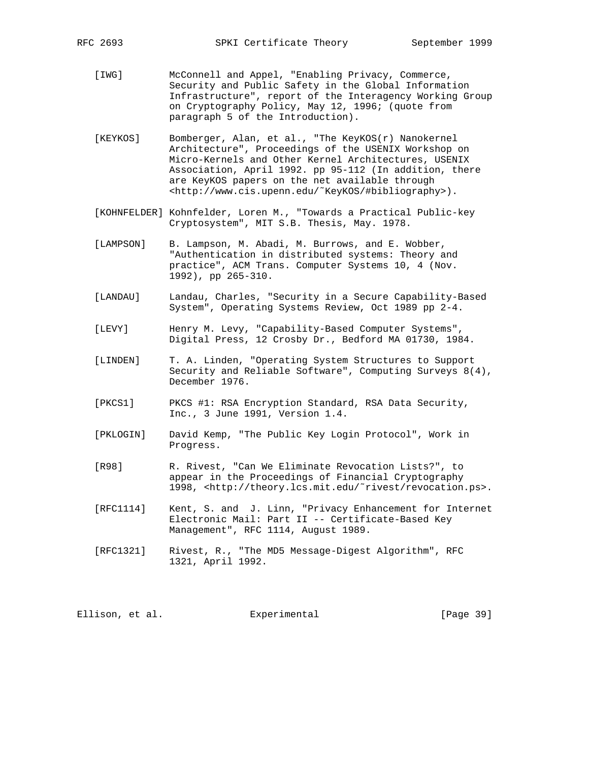- [IWG] McConnell and Appel, "Enabling Privacy, Commerce, Security and Public Safety in the Global Information Infrastructure", report of the Interagency Working Group on Cryptography Policy, May 12, 1996; (quote from paragraph 5 of the Introduction).
- [KEYKOS] Bomberger, Alan, et al., "The KeyKOS(r) Nanokernel Architecture", Proceedings of the USENIX Workshop on Micro-Kernels and Other Kernel Architectures, USENIX Association, April 1992. pp 95-112 (In addition, there are KeyKOS papers on the net available through <http://www.cis.upenn.edu/˜KeyKOS/#bibliography>).
- [KOHNFELDER] Kohnfelder, Loren M., "Towards a Practical Public-key Cryptosystem", MIT S.B. Thesis, May. 1978.
- [LAMPSON] B. Lampson, M. Abadi, M. Burrows, and E. Wobber, "Authentication in distributed systems: Theory and practice", ACM Trans. Computer Systems 10, 4 (Nov. 1992), pp 265-310.
- [LANDAU] Landau, Charles, "Security in a Secure Capability-Based System", Operating Systems Review, Oct 1989 pp 2-4.
- [LEVY] Henry M. Levy, "Capability-Based Computer Systems", Digital Press, 12 Crosby Dr., Bedford MA 01730, 1984.
- [LINDEN] T. A. Linden, "Operating System Structures to Support Security and Reliable Software", Computing Surveys 8(4), December 1976.
- [PKCS1] PKCS #1: RSA Encryption Standard, RSA Data Security, Inc., 3 June 1991, Version 1.4.
- [PKLOGIN] David Kemp, "The Public Key Login Protocol", Work in Progress.
- [R98] R. Rivest, "Can We Eliminate Revocation Lists?", to appear in the Proceedings of Financial Cryptography 1998, <http://theory.lcs.mit.edu/˜rivest/revocation.ps>.
- [RFC1114] Kent, S. and J. Linn, "Privacy Enhancement for Internet Electronic Mail: Part II -- Certificate-Based Key Management", RFC 1114, August 1989.
- [RFC1321] Rivest, R., "The MD5 Message-Digest Algorithm", RFC 1321, April 1992.

Ellison, et al. Experimental [Page 39]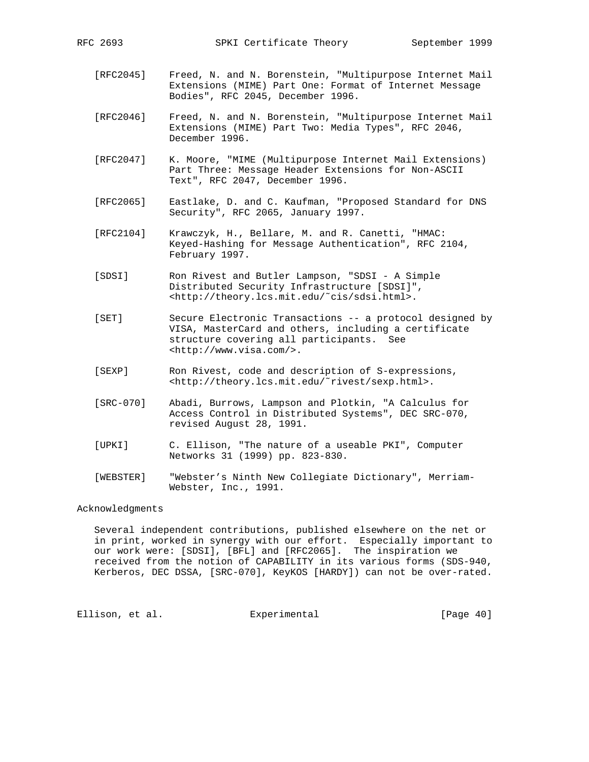- [RFC2045] Freed, N. and N. Borenstein, "Multipurpose Internet Mail Extensions (MIME) Part One: Format of Internet Message Bodies", RFC 2045, December 1996.
- [RFC2046] Freed, N. and N. Borenstein, "Multipurpose Internet Mail Extensions (MIME) Part Two: Media Types", RFC 2046, December 1996.
- [RFC2047] K. Moore, "MIME (Multipurpose Internet Mail Extensions) Part Three: Message Header Extensions for Non-ASCII Text", RFC 2047, December 1996.
- [RFC2065] Eastlake, D. and C. Kaufman, "Proposed Standard for DNS Security", RFC 2065, January 1997.
- [RFC2104] Krawczyk, H., Bellare, M. and R. Canetti, "HMAC: Keyed-Hashing for Message Authentication", RFC 2104, February 1997.
- [SDSI] Ron Rivest and Butler Lampson, "SDSI A Simple Distributed Security Infrastructure [SDSI]", <http://theory.lcs.mit.edu/˜cis/sdsi.html>.
- [SET] Secure Electronic Transactions -- a protocol designed by VISA, MasterCard and others, including a certificate structure covering all participants. See <http://www.visa.com/>.
- [SEXP] Ron Rivest, code and description of S-expressions, <http://theory.lcs.mit.edu/˜rivest/sexp.html>.
- [SRC-070] Abadi, Burrows, Lampson and Plotkin, "A Calculus for Access Control in Distributed Systems", DEC SRC-070, revised August 28, 1991.
- [UPKI] C. Ellison, "The nature of a useable PKI", Computer Networks 31 (1999) pp. 823-830.
- [WEBSTER] "Webster's Ninth New Collegiate Dictionary", Merriam- Webster, Inc., 1991.

#### Acknowledgments

 Several independent contributions, published elsewhere on the net or in print, worked in synergy with our effort. Especially important to our work were: [SDSI], [BFL] and [RFC2065]. The inspiration we received from the notion of CAPABILITY in its various forms (SDS-940, Kerberos, DEC DSSA, [SRC-070], KeyKOS [HARDY]) can not be over-rated.

Ellison, et al. Experimental [Page 40]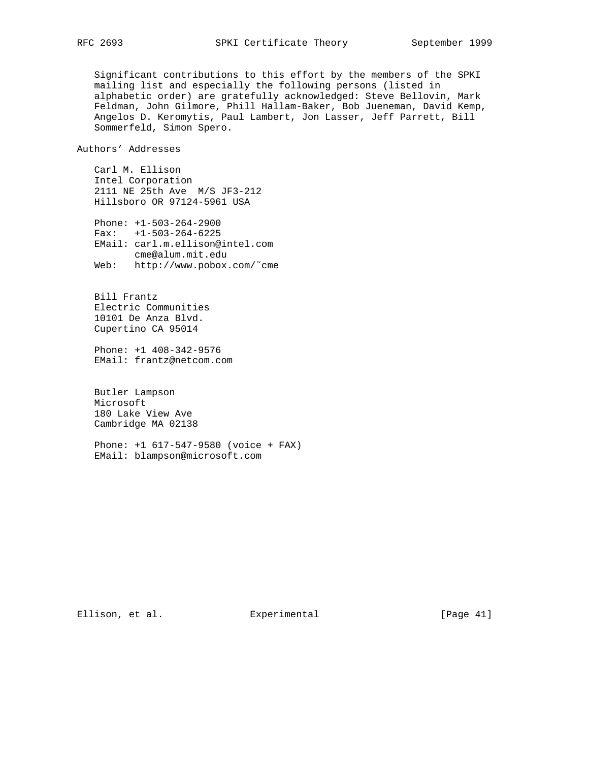Significant contributions to this effort by the members of the SPKI mailing list and especially the following persons (listed in alphabetic order) are gratefully acknowledged: Steve Bellovin, Mark Feldman, John Gilmore, Phill Hallam-Baker, Bob Jueneman, David Kemp, Angelos D. Keromytis, Paul Lambert, Jon Lasser, Jeff Parrett, Bill Sommerfeld, Simon Spero.

Authors' Addresses

 Carl M. Ellison Intel Corporation 2111 NE 25th Ave M/S JF3-212 Hillsboro OR 97124-5961 USA

 Phone: +1-503-264-2900 Fax: +1-503-264-6225 EMail: carl.m.ellison@intel.com cme@alum.mit.edu Web: http://www.pobox.com/˜cme

 Bill Frantz Electric Communities 10101 De Anza Blvd. Cupertino CA 95014

 Phone: +1 408-342-9576 EMail: frantz@netcom.com

 Butler Lampson Microsoft 180 Lake View Ave Cambridge MA 02138

 Phone: +1 617-547-9580 (voice + FAX) EMail: blampson@microsoft.com

Ellison, et al. Experimental [Page 41]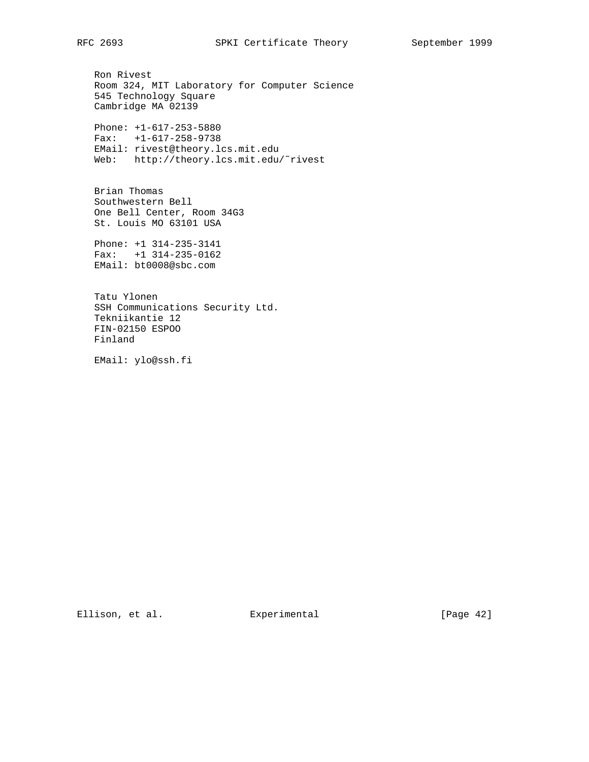Ron Rivest Room 324, MIT Laboratory for Computer Science 545 Technology Square Cambridge MA 02139

 Phone: +1-617-253-5880 Fax: +1-617-258-9738 EMail: rivest@theory.lcs.mit.edu Web: http://theory.lcs.mit.edu/˜rivest

 Brian Thomas Southwestern Bell One Bell Center, Room 34G3 St. Louis MO 63101 USA

 Phone: +1 314-235-3141 Fax: +1 314-235-0162 EMail: bt0008@sbc.com

 Tatu Ylonen SSH Communications Security Ltd. Tekniikantie 12 FIN-02150 ESPOO Finland

EMail: ylo@ssh.fi

Ellison, et al. Experimental [Page 42]